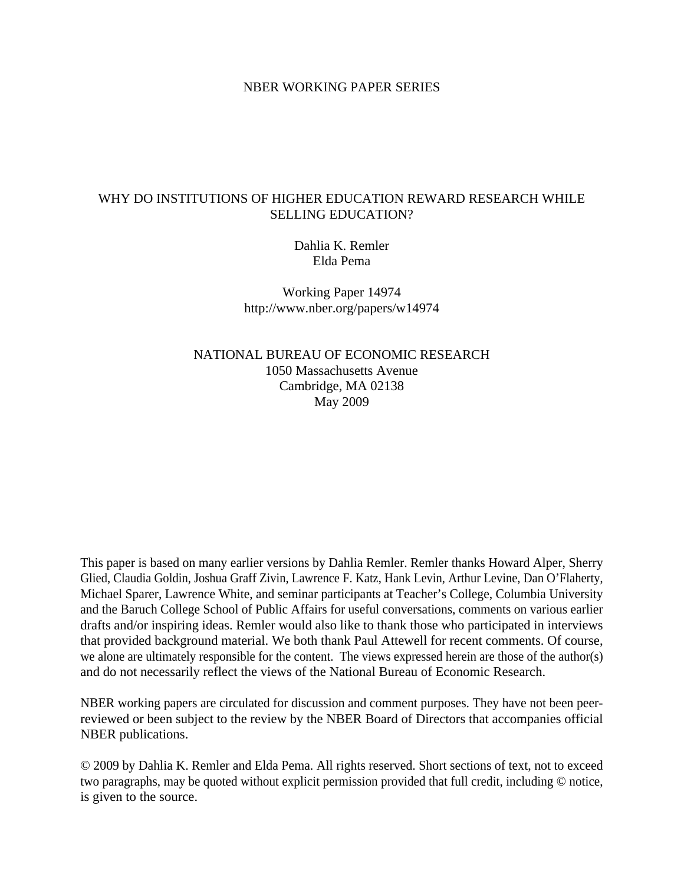## NBER WORKING PAPER SERIES

## WHY DO INSTITUTIONS OF HIGHER EDUCATION REWARD RESEARCH WHILE SELLING EDUCATION?

Dahlia K. Remler Elda Pema

Working Paper 14974 http://www.nber.org/papers/w14974

NATIONAL BUREAU OF ECONOMIC RESEARCH 1050 Massachusetts Avenue Cambridge, MA 02138 May 2009

This paper is based on many earlier versions by Dahlia Remler. Remler thanks Howard Alper, Sherry Glied, Claudia Goldin, Joshua Graff Zivin, Lawrence F. Katz, Hank Levin, Arthur Levine, Dan O'Flaherty, Michael Sparer, Lawrence White, and seminar participants at Teacher's College, Columbia University and the Baruch College School of Public Affairs for useful conversations, comments on various earlier drafts and/or inspiring ideas. Remler would also like to thank those who participated in interviews that provided background material. We both thank Paul Attewell for recent comments. Of course, we alone are ultimately responsible for the content. The views expressed herein are those of the author(s) and do not necessarily reflect the views of the National Bureau of Economic Research.

NBER working papers are circulated for discussion and comment purposes. They have not been peerreviewed or been subject to the review by the NBER Board of Directors that accompanies official NBER publications.

© 2009 by Dahlia K. Remler and Elda Pema. All rights reserved. Short sections of text, not to exceed two paragraphs, may be quoted without explicit permission provided that full credit, including © notice, is given to the source.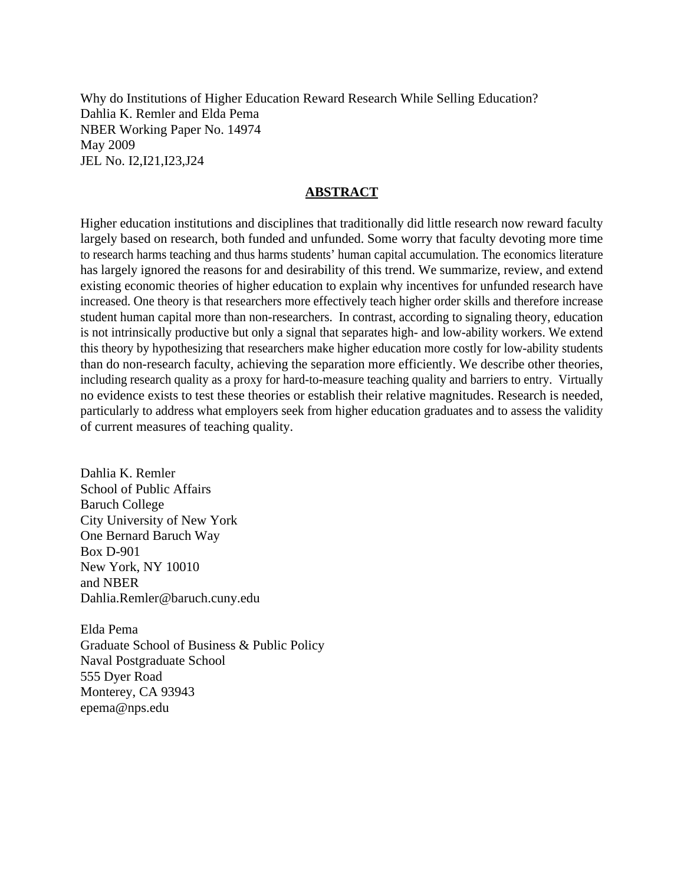Why do Institutions of Higher Education Reward Research While Selling Education? Dahlia K. Remler and Elda Pema NBER Working Paper No. 14974 May 2009 JEL No. I2,I21,I23,J24

## **ABSTRACT**

Higher education institutions and disciplines that traditionally did little research now reward faculty largely based on research, both funded and unfunded. Some worry that faculty devoting more time to research harms teaching and thus harms students' human capital accumulation. The economics literature has largely ignored the reasons for and desirability of this trend. We summarize, review, and extend existing economic theories of higher education to explain why incentives for unfunded research have increased. One theory is that researchers more effectively teach higher order skills and therefore increase student human capital more than non-researchers. In contrast, according to signaling theory, education is not intrinsically productive but only a signal that separates high- and low-ability workers. We extend this theory by hypothesizing that researchers make higher education more costly for low-ability students than do non-research faculty, achieving the separation more efficiently. We describe other theories, including research quality as a proxy for hard-to-measure teaching quality and barriers to entry. Virtually no evidence exists to test these theories or establish their relative magnitudes. Research is needed, particularly to address what employers seek from higher education graduates and to assess the validity of current measures of teaching quality.

Dahlia K. Remler School of Public Affairs Baruch College City University of New York One Bernard Baruch Way Box D-901 New York, NY 10010 and NBER Dahlia.Remler@baruch.cuny.edu

Elda Pema Graduate School of Business & Public Policy Naval Postgraduate School 555 Dyer Road Monterey, CA 93943 epema@nps.edu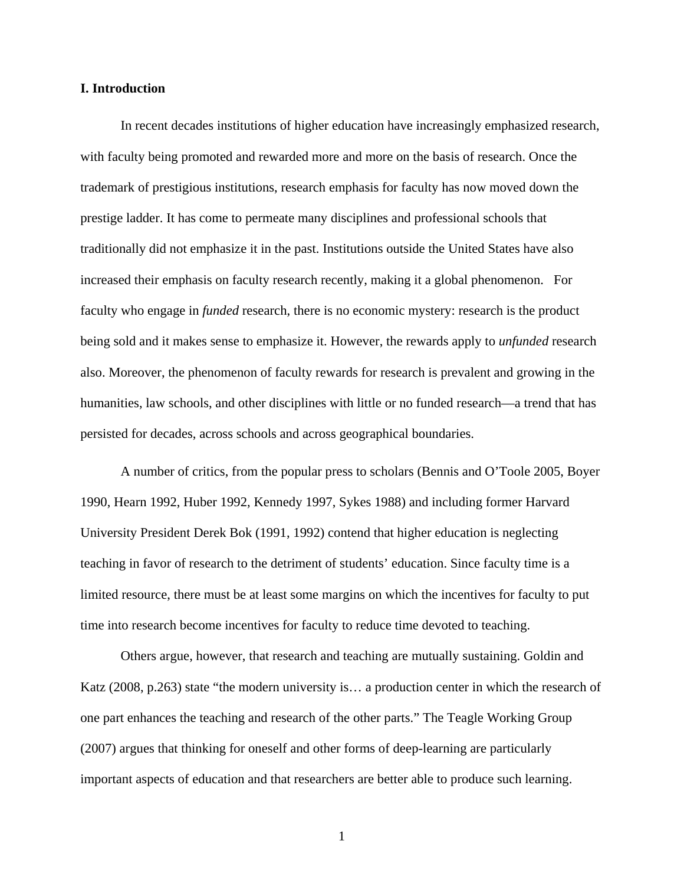## **I. Introduction**

In recent decades institutions of higher education have increasingly emphasized research, with faculty being promoted and rewarded more and more on the basis of research. Once the trademark of prestigious institutions, research emphasis for faculty has now moved down the prestige ladder. It has come to permeate many disciplines and professional schools that traditionally did not emphasize it in the past. Institutions outside the United States have also increased their emphasis on faculty research recently, making it a global phenomenon. For faculty who engage in *funded* research, there is no economic mystery: research is the product being sold and it makes sense to emphasize it. However, the rewards apply to *unfunded* research also. Moreover, the phenomenon of faculty rewards for research is prevalent and growing in the humanities, law schools, and other disciplines with little or no funded research—a trend that has persisted for decades, across schools and across geographical boundaries.

A number of critics, from the popular press to scholars (Bennis and O'Toole 2005, Boyer 1990, Hearn 1992, Huber 1992, Kennedy 1997, Sykes 1988) and including former Harvard University President Derek Bok (1991, 1992) contend that higher education is neglecting teaching in favor of research to the detriment of students' education. Since faculty time is a limited resource, there must be at least some margins on which the incentives for faculty to put time into research become incentives for faculty to reduce time devoted to teaching.

Others argue, however, that research and teaching are mutually sustaining. Goldin and Katz (2008, p.263) state "the modern university is… a production center in which the research of one part enhances the teaching and research of the other parts." The Teagle Working Group (2007) argues that thinking for oneself and other forms of deep-learning are particularly important aspects of education and that researchers are better able to produce such learning.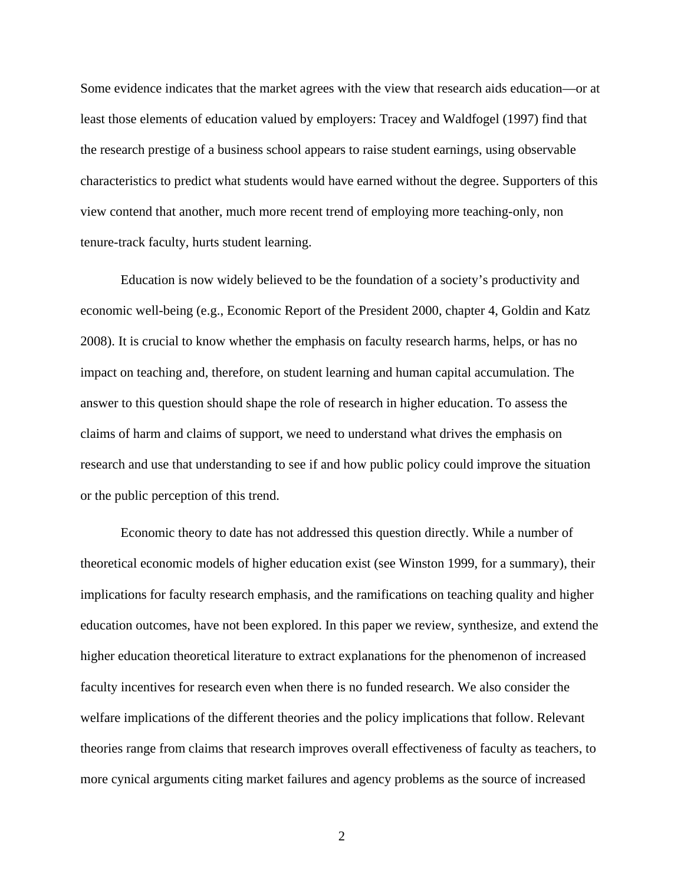Some evidence indicates that the market agrees with the view that research aids education—or at least those elements of education valued by employers: Tracey and Waldfogel (1997) find that the research prestige of a business school appears to raise student earnings, using observable characteristics to predict what students would have earned without the degree. Supporters of this view contend that another, much more recent trend of employing more teaching-only, non tenure-track faculty, hurts student learning.

Education is now widely believed to be the foundation of a society's productivity and economic well-being (e.g., Economic Report of the President 2000, chapter 4, Goldin and Katz 2008). It is crucial to know whether the emphasis on faculty research harms, helps, or has no impact on teaching and, therefore, on student learning and human capital accumulation. The answer to this question should shape the role of research in higher education. To assess the claims of harm and claims of support, we need to understand what drives the emphasis on research and use that understanding to see if and how public policy could improve the situation or the public perception of this trend.

Economic theory to date has not addressed this question directly. While a number of theoretical economic models of higher education exist (see Winston 1999, for a summary), their implications for faculty research emphasis, and the ramifications on teaching quality and higher education outcomes, have not been explored. In this paper we review, synthesize, and extend the higher education theoretical literature to extract explanations for the phenomenon of increased faculty incentives for research even when there is no funded research. We also consider the welfare implications of the different theories and the policy implications that follow. Relevant theories range from claims that research improves overall effectiveness of faculty as teachers, to more cynical arguments citing market failures and agency problems as the source of increased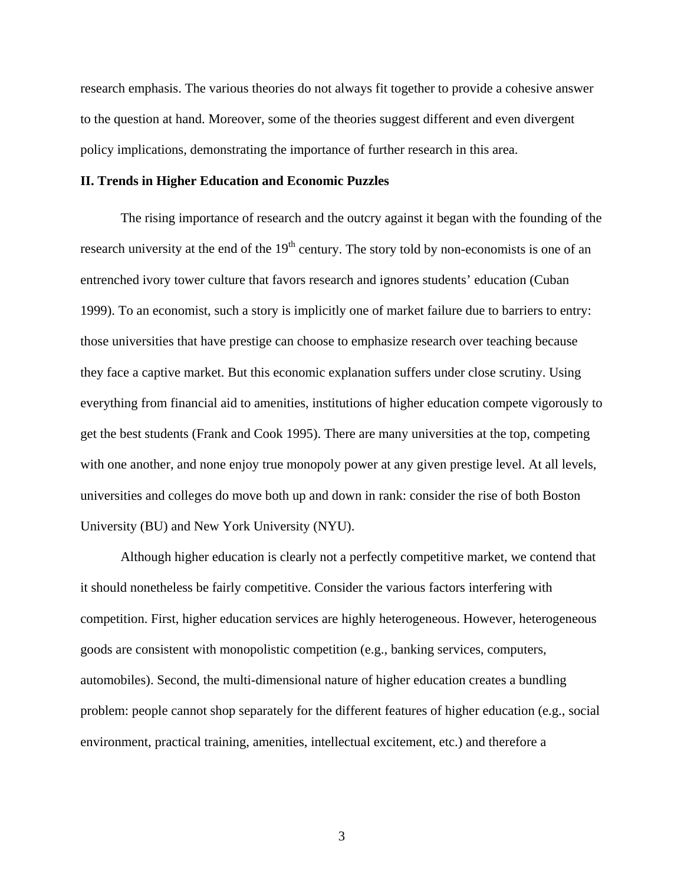research emphasis. The various theories do not always fit together to provide a cohesive answer to the question at hand. Moreover, some of the theories suggest different and even divergent policy implications, demonstrating the importance of further research in this area.

## **II. Trends in Higher Education and Economic Puzzles**

The rising importance of research and the outcry against it began with the founding of the research university at the end of the  $19<sup>th</sup>$  century. The story told by non-economists is one of an entrenched ivory tower culture that favors research and ignores students' education (Cuban 1999). To an economist, such a story is implicitly one of market failure due to barriers to entry: those universities that have prestige can choose to emphasize research over teaching because they face a captive market. But this economic explanation suffers under close scrutiny. Using everything from financial aid to amenities, institutions of higher education compete vigorously to get the best students (Frank and Cook 1995). There are many universities at the top, competing with one another, and none enjoy true monopoly power at any given prestige level. At all levels, universities and colleges do move both up and down in rank: consider the rise of both Boston University (BU) and New York University (NYU).

 Although higher education is clearly not a perfectly competitive market, we contend that it should nonetheless be fairly competitive. Consider the various factors interfering with competition. First, higher education services are highly heterogeneous. However, heterogeneous goods are consistent with monopolistic competition (e.g., banking services, computers, automobiles). Second, the multi-dimensional nature of higher education creates a bundling problem: people cannot shop separately for the different features of higher education (e.g., social environment, practical training, amenities, intellectual excitement, etc.) and therefore a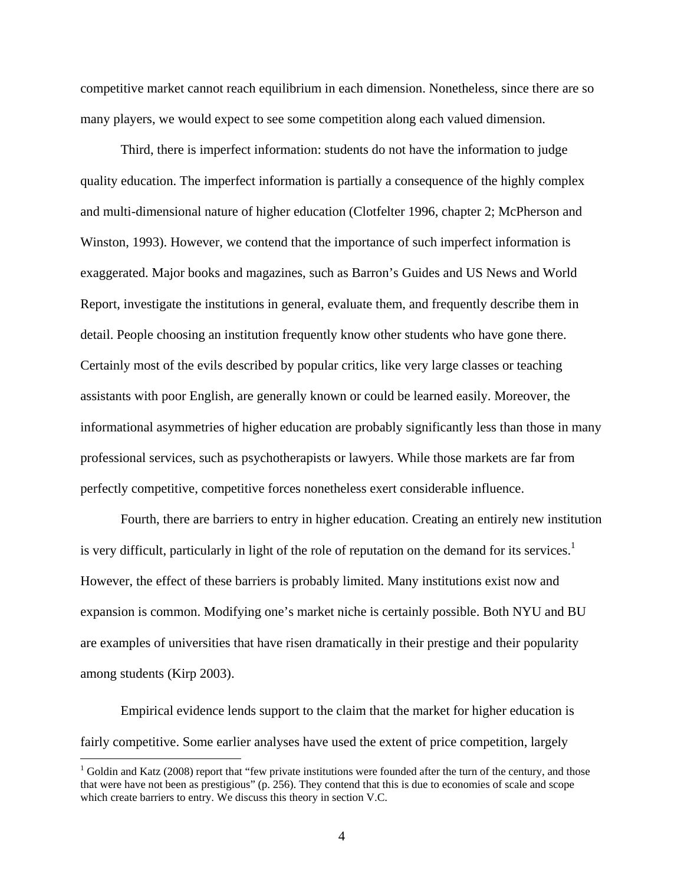competitive market cannot reach equilibrium in each dimension. Nonetheless, since there are so many players, we would expect to see some competition along each valued dimension.

Third, there is imperfect information: students do not have the information to judge quality education. The imperfect information is partially a consequence of the highly complex and multi-dimensional nature of higher education (Clotfelter 1996, chapter 2; McPherson and Winston, 1993). However, we contend that the importance of such imperfect information is exaggerated. Major books and magazines, such as Barron's Guides and US News and World Report, investigate the institutions in general, evaluate them, and frequently describe them in detail. People choosing an institution frequently know other students who have gone there. Certainly most of the evils described by popular critics, like very large classes or teaching assistants with poor English, are generally known or could be learned easily. Moreover, the informational asymmetries of higher education are probably significantly less than those in many professional services, such as psychotherapists or lawyers. While those markets are far from perfectly competitive, competitive forces nonetheless exert considerable influence.

Fourth, there are barriers to entry in higher education. Creating an entirely new institution is very difficult, particularly in light of the role of reputation on the demand for its services.<sup>1</sup> However, the effect of these barriers is probably limited. Many institutions exist now and expansion is common. Modifying one's market niche is certainly possible. Both NYU and BU are examples of universities that have risen dramatically in their prestige and their popularity among students (Kirp 2003).

Empirical evidence lends support to the claim that the market for higher education is fairly competitive. Some earlier analyses have used the extent of price competition, largely

 $1$  Goldin and Katz (2008) report that "few private institutions were founded after the turn of the century, and those that were have not been as prestigious" (p. 256). They contend that this is due to economies of scale and scope which create barriers to entry. We discuss this theory in section V.C.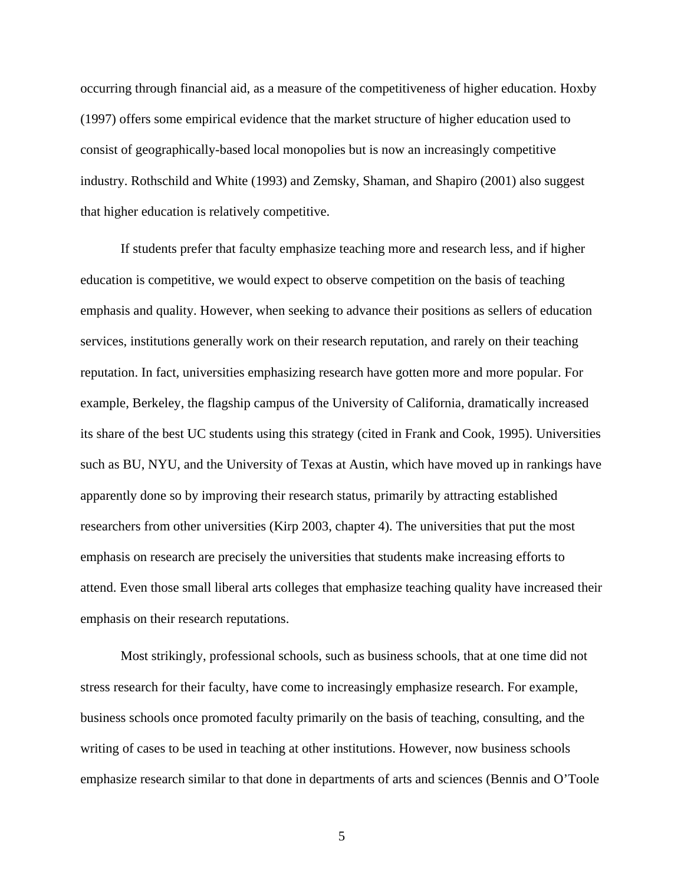occurring through financial aid, as a measure of the competitiveness of higher education. Hoxby (1997) offers some empirical evidence that the market structure of higher education used to consist of geographically-based local monopolies but is now an increasingly competitive industry. Rothschild and White (1993) and Zemsky, Shaman, and Shapiro (2001) also suggest that higher education is relatively competitive.

If students prefer that faculty emphasize teaching more and research less, and if higher education is competitive, we would expect to observe competition on the basis of teaching emphasis and quality. However, when seeking to advance their positions as sellers of education services, institutions generally work on their research reputation, and rarely on their teaching reputation. In fact, universities emphasizing research have gotten more and more popular. For example, Berkeley, the flagship campus of the University of California, dramatically increased its share of the best UC students using this strategy (cited in Frank and Cook, 1995). Universities such as BU, NYU, and the University of Texas at Austin, which have moved up in rankings have apparently done so by improving their research status, primarily by attracting established researchers from other universities (Kirp 2003, chapter 4). The universities that put the most emphasis on research are precisely the universities that students make increasing efforts to attend. Even those small liberal arts colleges that emphasize teaching quality have increased their emphasis on their research reputations.

Most strikingly, professional schools, such as business schools, that at one time did not stress research for their faculty, have come to increasingly emphasize research. For example, business schools once promoted faculty primarily on the basis of teaching, consulting, and the writing of cases to be used in teaching at other institutions. However, now business schools emphasize research similar to that done in departments of arts and sciences (Bennis and O'Toole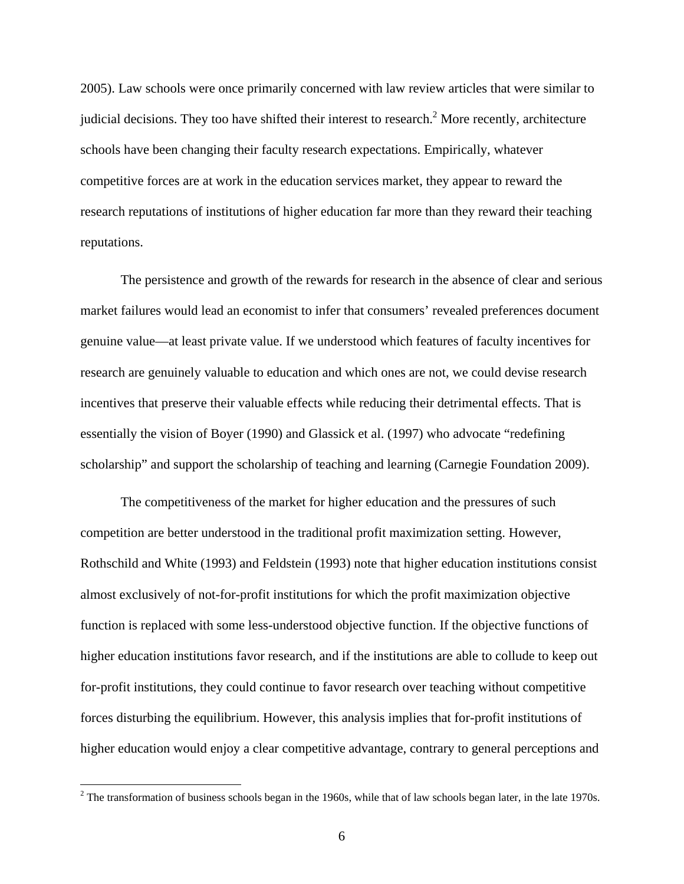2005). Law schools were once primarily concerned with law review articles that were similar to judicial decisions. They too have shifted their interest to research.<sup>2</sup> More recently, architecture schools have been changing their faculty research expectations. Empirically, whatever competitive forces are at work in the education services market, they appear to reward the research reputations of institutions of higher education far more than they reward their teaching reputations.

The persistence and growth of the rewards for research in the absence of clear and serious market failures would lead an economist to infer that consumers' revealed preferences document genuine value—at least private value. If we understood which features of faculty incentives for research are genuinely valuable to education and which ones are not, we could devise research incentives that preserve their valuable effects while reducing their detrimental effects. That is essentially the vision of Boyer (1990) and Glassick et al. (1997) who advocate "redefining scholarship" and support the scholarship of teaching and learning (Carnegie Foundation 2009).

The competitiveness of the market for higher education and the pressures of such competition are better understood in the traditional profit maximization setting. However, Rothschild and White (1993) and Feldstein (1993) note that higher education institutions consist almost exclusively of not-for-profit institutions for which the profit maximization objective function is replaced with some less-understood objective function. If the objective functions of higher education institutions favor research, and if the institutions are able to collude to keep out for-profit institutions, they could continue to favor research over teaching without competitive forces disturbing the equilibrium. However, this analysis implies that for-profit institutions of higher education would enjoy a clear competitive advantage, contrary to general perceptions and

 $\overline{a}$ 

 $2^2$  The transformation of business schools began in the 1960s, while that of law schools began later, in the late 1970s.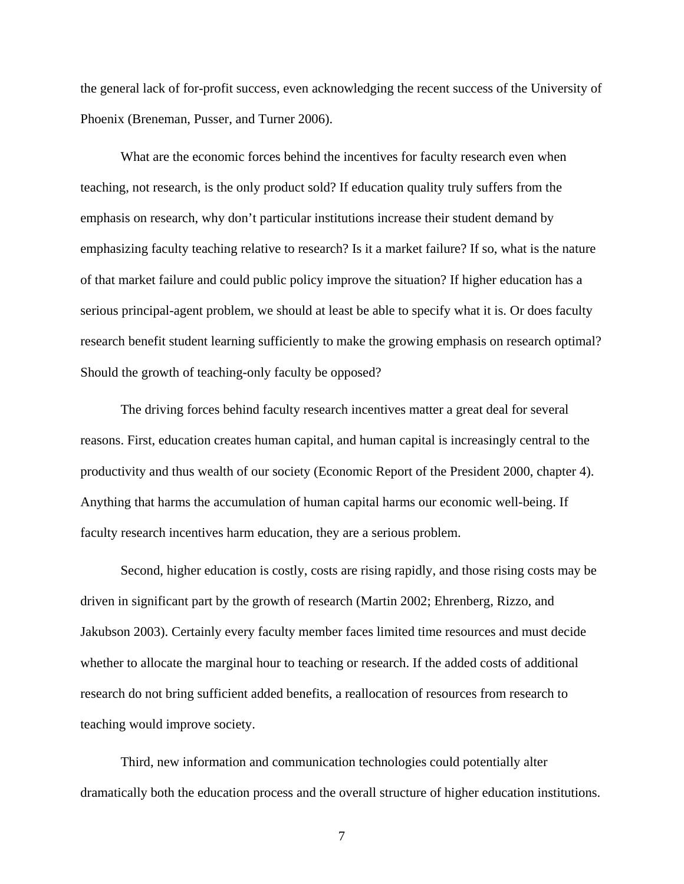the general lack of for-profit success, even acknowledging the recent success of the University of Phoenix (Breneman, Pusser, and Turner 2006).

What are the economic forces behind the incentives for faculty research even when teaching, not research, is the only product sold? If education quality truly suffers from the emphasis on research, why don't particular institutions increase their student demand by emphasizing faculty teaching relative to research? Is it a market failure? If so, what is the nature of that market failure and could public policy improve the situation? If higher education has a serious principal-agent problem, we should at least be able to specify what it is. Or does faculty research benefit student learning sufficiently to make the growing emphasis on research optimal? Should the growth of teaching-only faculty be opposed?

The driving forces behind faculty research incentives matter a great deal for several reasons. First, education creates human capital, and human capital is increasingly central to the productivity and thus wealth of our society (Economic Report of the President 2000, chapter 4). Anything that harms the accumulation of human capital harms our economic well-being. If faculty research incentives harm education, they are a serious problem.

Second, higher education is costly, costs are rising rapidly, and those rising costs may be driven in significant part by the growth of research (Martin 2002; Ehrenberg, Rizzo, and Jakubson 2003). Certainly every faculty member faces limited time resources and must decide whether to allocate the marginal hour to teaching or research. If the added costs of additional research do not bring sufficient added benefits, a reallocation of resources from research to teaching would improve society.

Third, new information and communication technologies could potentially alter dramatically both the education process and the overall structure of higher education institutions.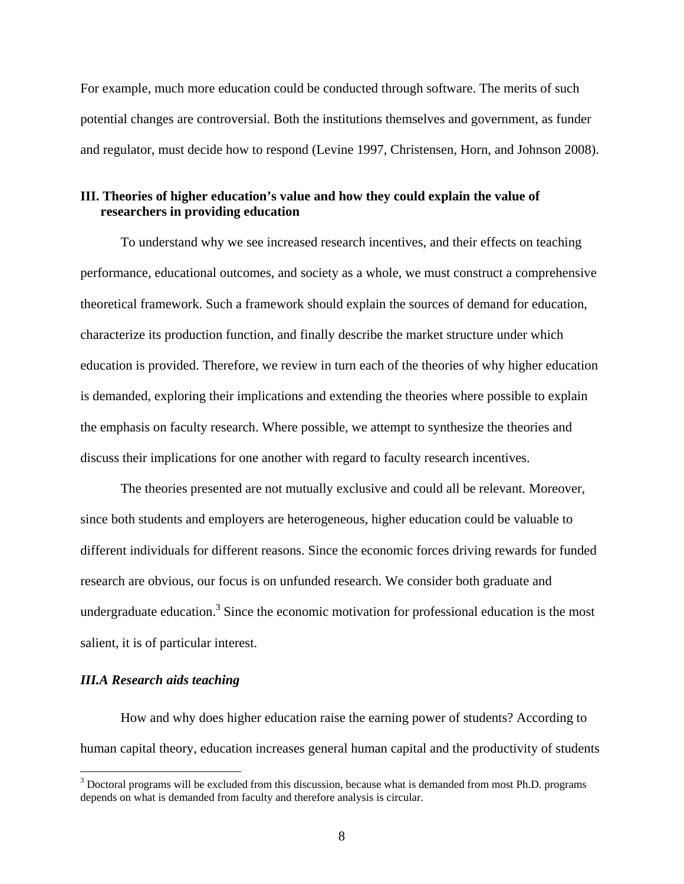For example, much more education could be conducted through software. The merits of such potential changes are controversial. Both the institutions themselves and government, as funder and regulator, must decide how to respond (Levine 1997, Christensen, Horn, and Johnson 2008).

# **III. Theories of higher education's value and how they could explain the value of researchers in providing education**

 To understand why we see increased research incentives, and their effects on teaching performance, educational outcomes, and society as a whole, we must construct a comprehensive theoretical framework. Such a framework should explain the sources of demand for education, characterize its production function, and finally describe the market structure under which education is provided. Therefore, we review in turn each of the theories of why higher education is demanded, exploring their implications and extending the theories where possible to explain the emphasis on faculty research. Where possible, we attempt to synthesize the theories and discuss their implications for one another with regard to faculty research incentives.

The theories presented are not mutually exclusive and could all be relevant. Moreover, since both students and employers are heterogeneous, higher education could be valuable to different individuals for different reasons. Since the economic forces driving rewards for funded research are obvious, our focus is on unfunded research. We consider both graduate and undergraduate education.<sup>3</sup> Since the economic motivation for professional education is the most salient, it is of particular interest.

## *III.A Research aids teaching*

How and why does higher education raise the earning power of students? According to human capital theory, education increases general human capital and the productivity of students

<sup>&</sup>lt;sup>3</sup> Doctoral programs will be excluded from this discussion, because what is demanded from most Ph.D. programs depends on what is demanded from faculty and therefore analysis is circular.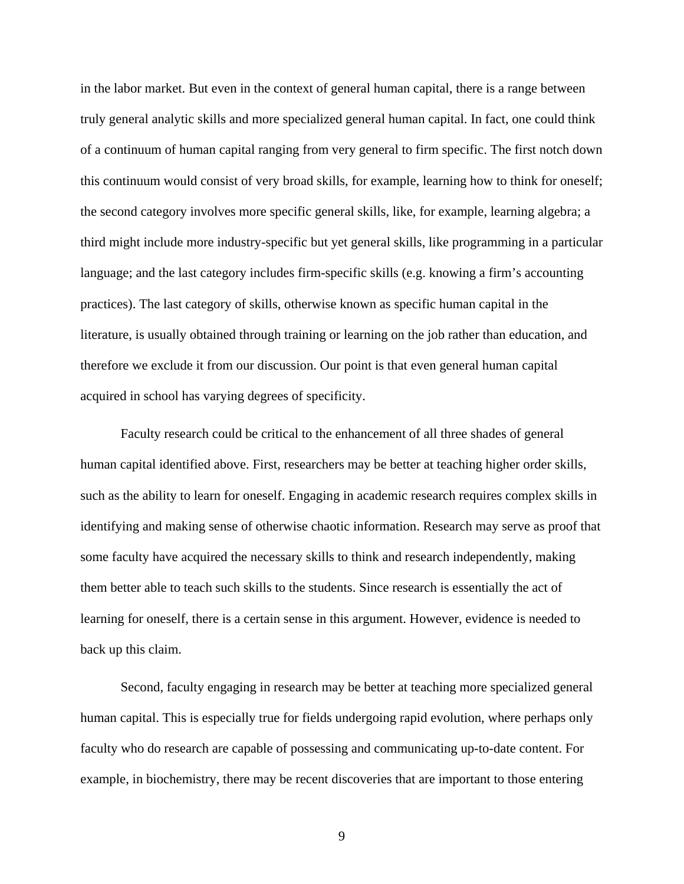in the labor market. But even in the context of general human capital, there is a range between truly general analytic skills and more specialized general human capital. In fact, one could think of a continuum of human capital ranging from very general to firm specific. The first notch down this continuum would consist of very broad skills, for example, learning how to think for oneself; the second category involves more specific general skills, like, for example, learning algebra; a third might include more industry-specific but yet general skills, like programming in a particular language; and the last category includes firm-specific skills (e.g. knowing a firm's accounting practices). The last category of skills, otherwise known as specific human capital in the literature, is usually obtained through training or learning on the job rather than education, and therefore we exclude it from our discussion. Our point is that even general human capital acquired in school has varying degrees of specificity.

Faculty research could be critical to the enhancement of all three shades of general human capital identified above. First, researchers may be better at teaching higher order skills, such as the ability to learn for oneself. Engaging in academic research requires complex skills in identifying and making sense of otherwise chaotic information. Research may serve as proof that some faculty have acquired the necessary skills to think and research independently, making them better able to teach such skills to the students. Since research is essentially the act of learning for oneself, there is a certain sense in this argument. However, evidence is needed to back up this claim.

Second, faculty engaging in research may be better at teaching more specialized general human capital. This is especially true for fields undergoing rapid evolution, where perhaps only faculty who do research are capable of possessing and communicating up-to-date content. For example, in biochemistry, there may be recent discoveries that are important to those entering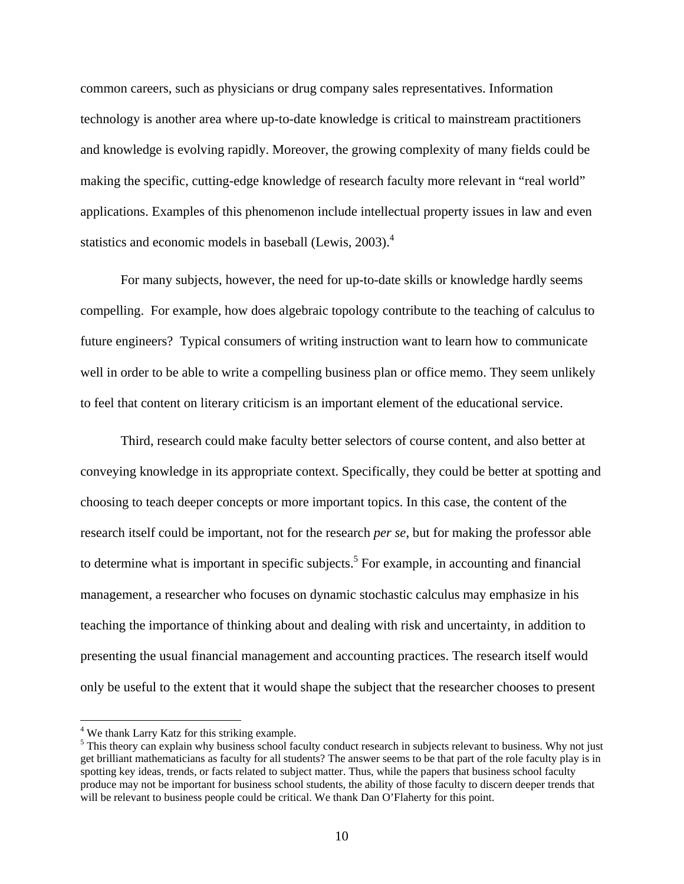common careers, such as physicians or drug company sales representatives. Information technology is another area where up-to-date knowledge is critical to mainstream practitioners and knowledge is evolving rapidly. Moreover, the growing complexity of many fields could be making the specific, cutting-edge knowledge of research faculty more relevant in "real world" applications. Examples of this phenomenon include intellectual property issues in law and even statistics and economic models in baseball (Lewis, 2003).<sup>4</sup>

For many subjects, however, the need for up-to-date skills or knowledge hardly seems compelling. For example, how does algebraic topology contribute to the teaching of calculus to future engineers? Typical consumers of writing instruction want to learn how to communicate well in order to be able to write a compelling business plan or office memo. They seem unlikely to feel that content on literary criticism is an important element of the educational service.

Third, research could make faculty better selectors of course content, and also better at conveying knowledge in its appropriate context. Specifically, they could be better at spotting and choosing to teach deeper concepts or more important topics. In this case, the content of the research itself could be important, not for the research *per se*, but for making the professor able to determine what is important in specific subjects.<sup>5</sup> For example, in accounting and financial management, a researcher who focuses on dynamic stochastic calculus may emphasize in his teaching the importance of thinking about and dealing with risk and uncertainty, in addition to presenting the usual financial management and accounting practices. The research itself would only be useful to the extent that it would shape the subject that the researcher chooses to present

 $\overline{a}$ 

<sup>&</sup>lt;sup>4</sup> We thank Larry Katz for this striking example.

<sup>&</sup>lt;sup>5</sup> This theory can explain why business school faculty conduct research in subjects relevant to business. Why not just get brilliant mathematicians as faculty for all students? The answer seems to be that part of the role faculty play is in spotting key ideas, trends, or facts related to subject matter. Thus, while the papers that business school faculty produce may not be important for business school students, the ability of those faculty to discern deeper trends that will be relevant to business people could be critical. We thank Dan O'Flaherty for this point.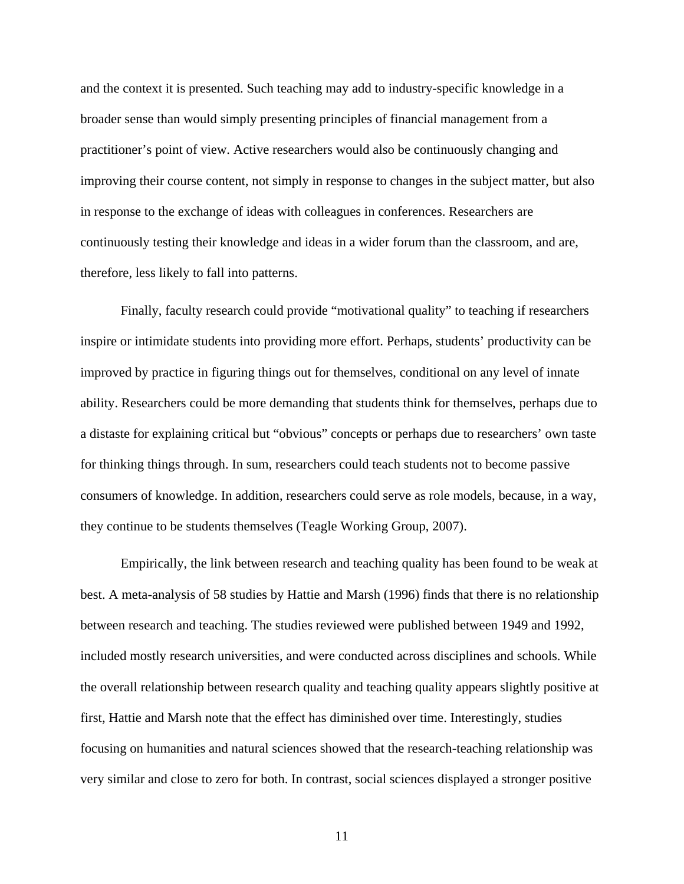and the context it is presented. Such teaching may add to industry-specific knowledge in a broader sense than would simply presenting principles of financial management from a practitioner's point of view. Active researchers would also be continuously changing and improving their course content, not simply in response to changes in the subject matter, but also in response to the exchange of ideas with colleagues in conferences. Researchers are continuously testing their knowledge and ideas in a wider forum than the classroom, and are, therefore, less likely to fall into patterns.

Finally, faculty research could provide "motivational quality" to teaching if researchers inspire or intimidate students into providing more effort. Perhaps, students' productivity can be improved by practice in figuring things out for themselves, conditional on any level of innate ability. Researchers could be more demanding that students think for themselves, perhaps due to a distaste for explaining critical but "obvious" concepts or perhaps due to researchers' own taste for thinking things through. In sum, researchers could teach students not to become passive consumers of knowledge. In addition, researchers could serve as role models, because, in a way, they continue to be students themselves (Teagle Working Group, 2007).

Empirically, the link between research and teaching quality has been found to be weak at best. A meta-analysis of 58 studies by Hattie and Marsh (1996) finds that there is no relationship between research and teaching. The studies reviewed were published between 1949 and 1992, included mostly research universities, and were conducted across disciplines and schools. While the overall relationship between research quality and teaching quality appears slightly positive at first, Hattie and Marsh note that the effect has diminished over time. Interestingly, studies focusing on humanities and natural sciences showed that the research-teaching relationship was very similar and close to zero for both. In contrast, social sciences displayed a stronger positive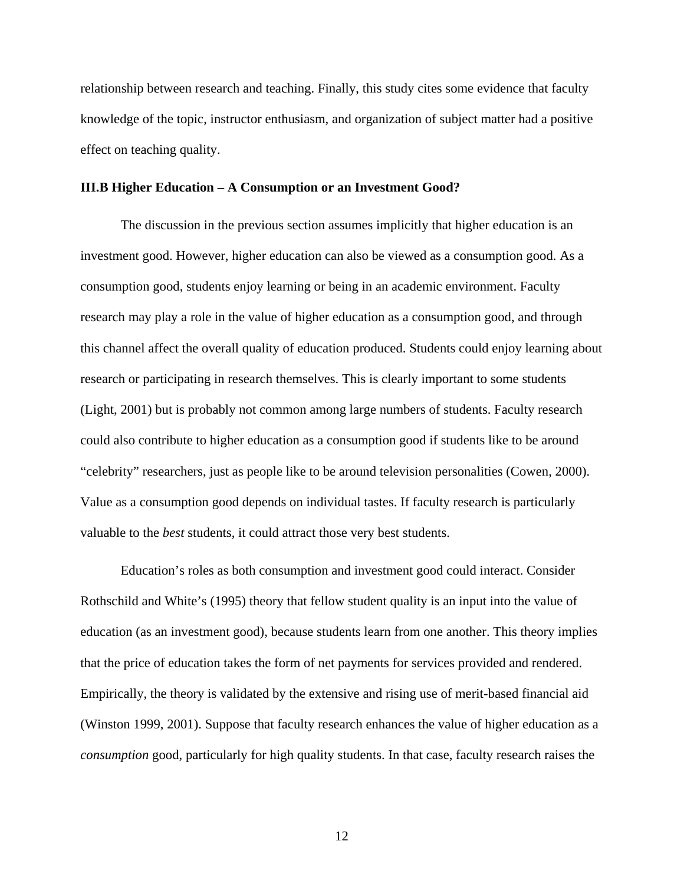relationship between research and teaching. Finally, this study cites some evidence that faculty knowledge of the topic, instructor enthusiasm, and organization of subject matter had a positive effect on teaching quality.

#### **III.B Higher Education – A Consumption or an Investment Good?**

The discussion in the previous section assumes implicitly that higher education is an investment good. However, higher education can also be viewed as a consumption good. As a consumption good, students enjoy learning or being in an academic environment. Faculty research may play a role in the value of higher education as a consumption good, and through this channel affect the overall quality of education produced. Students could enjoy learning about research or participating in research themselves. This is clearly important to some students (Light, 2001) but is probably not common among large numbers of students. Faculty research could also contribute to higher education as a consumption good if students like to be around "celebrity" researchers, just as people like to be around television personalities (Cowen, 2000). Value as a consumption good depends on individual tastes. If faculty research is particularly valuable to the *best* students, it could attract those very best students.

Education's roles as both consumption and investment good could interact. Consider Rothschild and White's (1995) theory that fellow student quality is an input into the value of education (as an investment good), because students learn from one another. This theory implies that the price of education takes the form of net payments for services provided and rendered. Empirically, the theory is validated by the extensive and rising use of merit-based financial aid (Winston 1999, 2001). Suppose that faculty research enhances the value of higher education as a *consumption* good, particularly for high quality students. In that case, faculty research raises the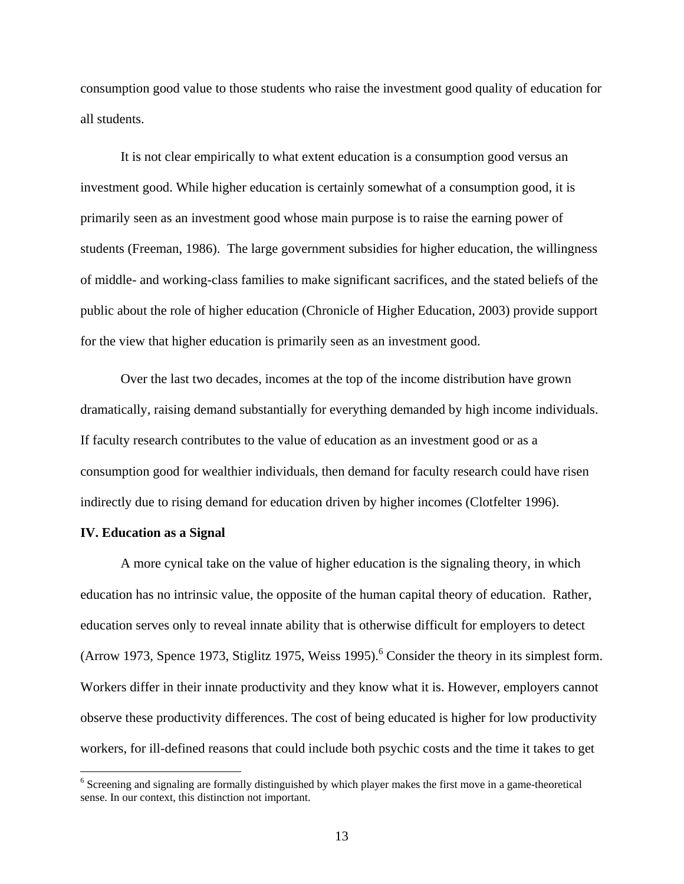consumption good value to those students who raise the investment good quality of education for all students.

 It is not clear empirically to what extent education is a consumption good versus an investment good. While higher education is certainly somewhat of a consumption good, it is primarily seen as an investment good whose main purpose is to raise the earning power of students (Freeman, 1986). The large government subsidies for higher education, the willingness of middle- and working-class families to make significant sacrifices, and the stated beliefs of the public about the role of higher education (Chronicle of Higher Education, 2003) provide support for the view that higher education is primarily seen as an investment good.

 Over the last two decades, incomes at the top of the income distribution have grown dramatically, raising demand substantially for everything demanded by high income individuals. If faculty research contributes to the value of education as an investment good or as a consumption good for wealthier individuals, then demand for faculty research could have risen indirectly due to rising demand for education driven by higher incomes (Clotfelter 1996).

## **IV. Education as a Signal**

 $\overline{a}$ 

A more cynical take on the value of higher education is the signaling theory, in which education has no intrinsic value, the opposite of the human capital theory of education. Rather, education serves only to reveal innate ability that is otherwise difficult for employers to detect (Arrow 1973, Spence 1973, Stiglitz 1975, Weiss 1995). $^6$  Consider the theory in its simplest form. Workers differ in their innate productivity and they know what it is. However, employers cannot observe these productivity differences. The cost of being educated is higher for low productivity workers, for ill-defined reasons that could include both psychic costs and the time it takes to get

<sup>&</sup>lt;sup>6</sup> Screening and signaling are formally distinguished by which player makes the first move in a game-theoretical sense. In our context, this distinction not important.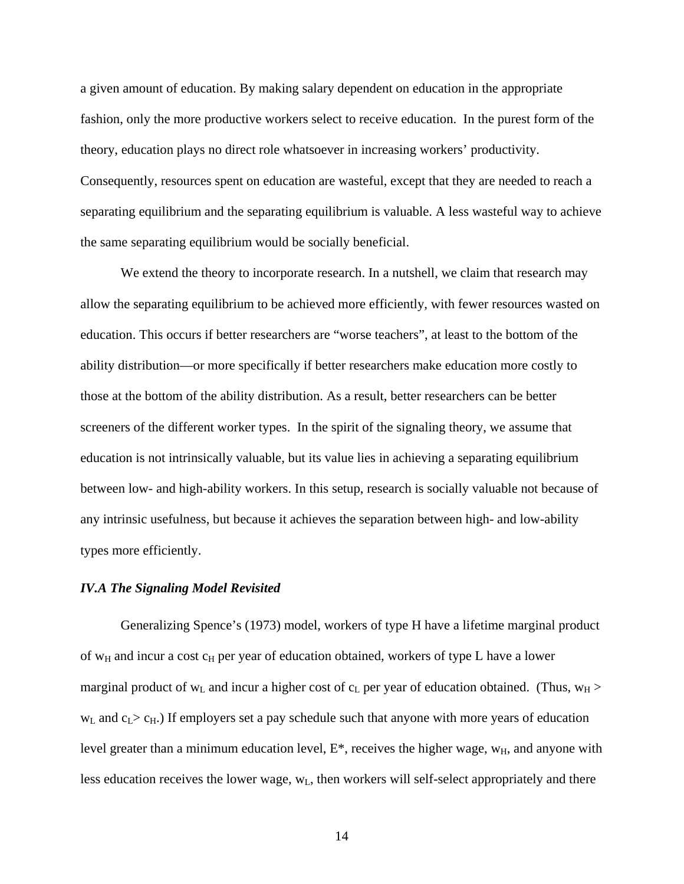a given amount of education. By making salary dependent on education in the appropriate fashion, only the more productive workers select to receive education. In the purest form of the theory, education plays no direct role whatsoever in increasing workers' productivity. Consequently, resources spent on education are wasteful, except that they are needed to reach a separating equilibrium and the separating equilibrium is valuable. A less wasteful way to achieve the same separating equilibrium would be socially beneficial.

We extend the theory to incorporate research. In a nutshell, we claim that research may allow the separating equilibrium to be achieved more efficiently, with fewer resources wasted on education. This occurs if better researchers are "worse teachers", at least to the bottom of the ability distribution—or more specifically if better researchers make education more costly to those at the bottom of the ability distribution. As a result, better researchers can be better screeners of the different worker types. In the spirit of the signaling theory, we assume that education is not intrinsically valuable, but its value lies in achieving a separating equilibrium between low- and high-ability workers. In this setup, research is socially valuable not because of any intrinsic usefulness, but because it achieves the separation between high- and low-ability types more efficiently.

## *IV.A The Signaling Model Revisited*

Generalizing Spence's (1973) model, workers of type H have a lifetime marginal product of  $w_H$  and incur a cost  $c_H$  per year of education obtained, workers of type L have a lower marginal product of  $w_L$  and incur a higher cost of  $c_L$  per year of education obtained. (Thus,  $w_H$  >  $w<sub>L</sub>$  and  $c<sub>L</sub> > c<sub>H</sub>$ .) If employers set a pay schedule such that anyone with more years of education level greater than a minimum education level,  $E^*$ , receives the higher wage,  $w_H$ , and anyone with less education receives the lower wage,  $w<sub>L</sub>$ , then workers will self-select appropriately and there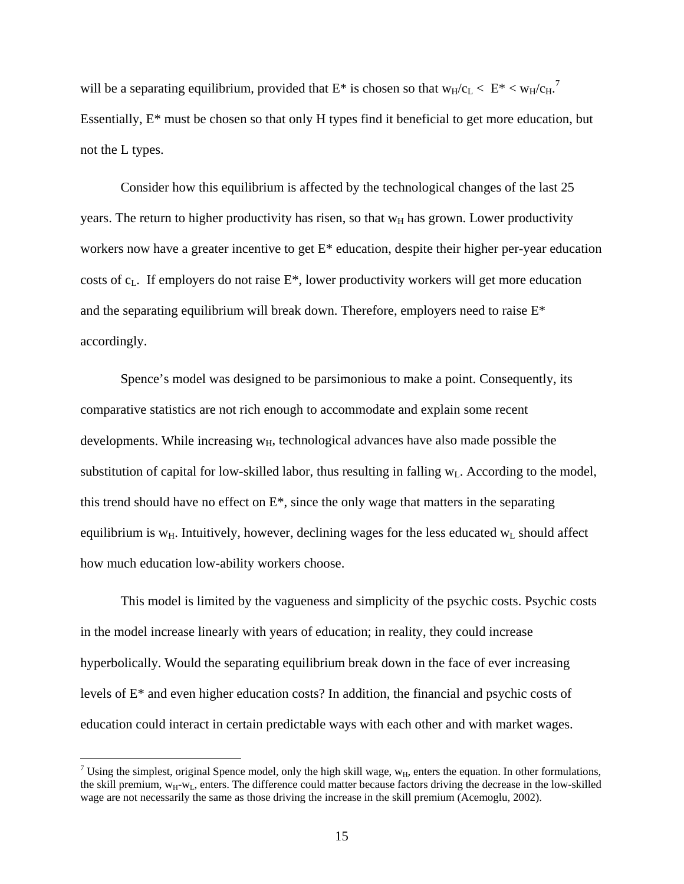will be a separating equilibrium, provided that  $E^*$  is chosen so that  $w_H/c_L < E^* < w_H/c_H$ . Essentially, E\* must be chosen so that only H types find it beneficial to get more education, but not the L types.

Consider how this equilibrium is affected by the technological changes of the last 25 years. The return to higher productivity has risen, so that  $w_H$  has grown. Lower productivity workers now have a greater incentive to get E\* education, despite their higher per-year education costs of  $c_L$ . If employers do not raise  $E^*$ , lower productivity workers will get more education and the separating equilibrium will break down. Therefore, employers need to raise E\* accordingly.

Spence's model was designed to be parsimonious to make a point. Consequently, its comparative statistics are not rich enough to accommodate and explain some recent developments. While increasing  $w_H$ , technological advances have also made possible the substitution of capital for low-skilled labor, thus resulting in falling  $w_L$ . According to the model, this trend should have no effect on  $E^*$ , since the only wage that matters in the separating equilibrium is  $w_H$ . Intuitively, however, declining wages for the less educated  $w_L$  should affect how much education low-ability workers choose.

This model is limited by the vagueness and simplicity of the psychic costs. Psychic costs in the model increase linearly with years of education; in reality, they could increase hyperbolically. Would the separating equilibrium break down in the face of ever increasing levels of E\* and even higher education costs? In addition, the financial and psychic costs of education could interact in certain predictable ways with each other and with market wages.

<sup>&</sup>lt;sup>7</sup> Using the simplest, original Spence model, only the high skill wage,  $w_H$ , enters the equation. In other formulations, the skill premium,  $w_H-w_L$ , enters. The difference could matter because factors driving the decrease in the low-skilled wage are not necessarily the same as those driving the increase in the skill premium (Acemoglu, 2002).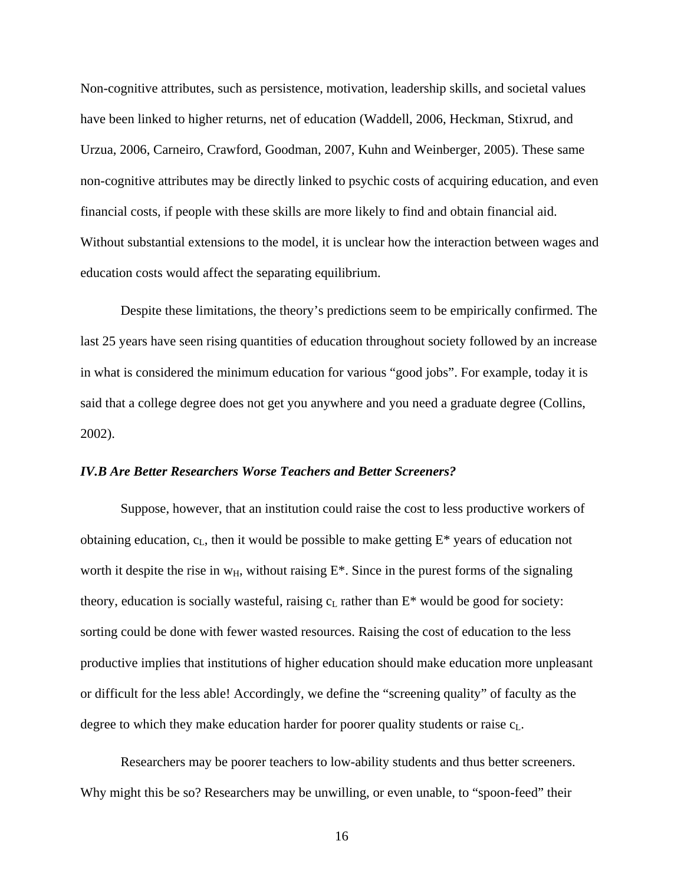Non-cognitive attributes, such as persistence, motivation, leadership skills, and societal values have been linked to higher returns, net of education (Waddell, 2006, Heckman, Stixrud, and Urzua, 2006, Carneiro, Crawford, Goodman, 2007, Kuhn and Weinberger, 2005). These same non-cognitive attributes may be directly linked to psychic costs of acquiring education, and even financial costs, if people with these skills are more likely to find and obtain financial aid. Without substantial extensions to the model, it is unclear how the interaction between wages and education costs would affect the separating equilibrium.

Despite these limitations, the theory's predictions seem to be empirically confirmed. The last 25 years have seen rising quantities of education throughout society followed by an increase in what is considered the minimum education for various "good jobs". For example, today it is said that a college degree does not get you anywhere and you need a graduate degree (Collins, 2002).

## *IV.B Are Better Researchers Worse Teachers and Better Screeners?*

Suppose, however, that an institution could raise the cost to less productive workers of obtaining education,  $c<sub>L</sub>$ , then it would be possible to make getting  $E^*$  years of education not worth it despite the rise in  $w_H$ , without raising  $E^*$ . Since in the purest forms of the signaling theory, education is socially wasteful, raising  $c<sub>L</sub>$  rather than  $E^*$  would be good for society: sorting could be done with fewer wasted resources. Raising the cost of education to the less productive implies that institutions of higher education should make education more unpleasant or difficult for the less able! Accordingly, we define the "screening quality" of faculty as the degree to which they make education harder for poorer quality students or raise  $c<sub>L</sub>$ .

 Researchers may be poorer teachers to low-ability students and thus better screeners. Why might this be so? Researchers may be unwilling, or even unable, to "spoon-feed" their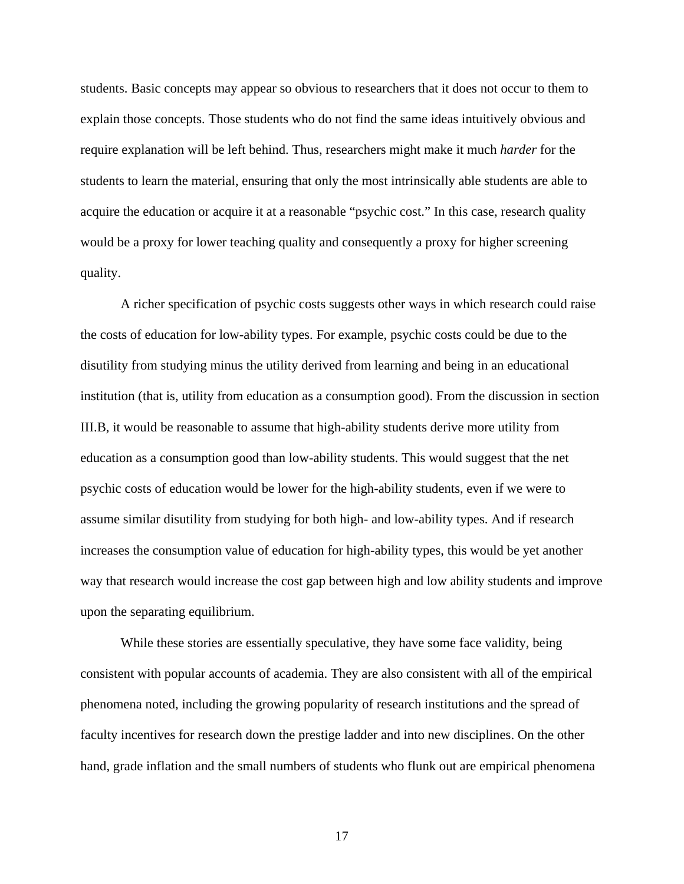students. Basic concepts may appear so obvious to researchers that it does not occur to them to explain those concepts. Those students who do not find the same ideas intuitively obvious and require explanation will be left behind. Thus, researchers might make it much *harder* for the students to learn the material, ensuring that only the most intrinsically able students are able to acquire the education or acquire it at a reasonable "psychic cost." In this case, research quality would be a proxy for lower teaching quality and consequently a proxy for higher screening quality.

A richer specification of psychic costs suggests other ways in which research could raise the costs of education for low-ability types. For example, psychic costs could be due to the disutility from studying minus the utility derived from learning and being in an educational institution (that is, utility from education as a consumption good). From the discussion in section III.B, it would be reasonable to assume that high-ability students derive more utility from education as a consumption good than low-ability students. This would suggest that the net psychic costs of education would be lower for the high-ability students, even if we were to assume similar disutility from studying for both high- and low-ability types. And if research increases the consumption value of education for high-ability types, this would be yet another way that research would increase the cost gap between high and low ability students and improve upon the separating equilibrium.

While these stories are essentially speculative, they have some face validity, being consistent with popular accounts of academia. They are also consistent with all of the empirical phenomena noted, including the growing popularity of research institutions and the spread of faculty incentives for research down the prestige ladder and into new disciplines. On the other hand, grade inflation and the small numbers of students who flunk out are empirical phenomena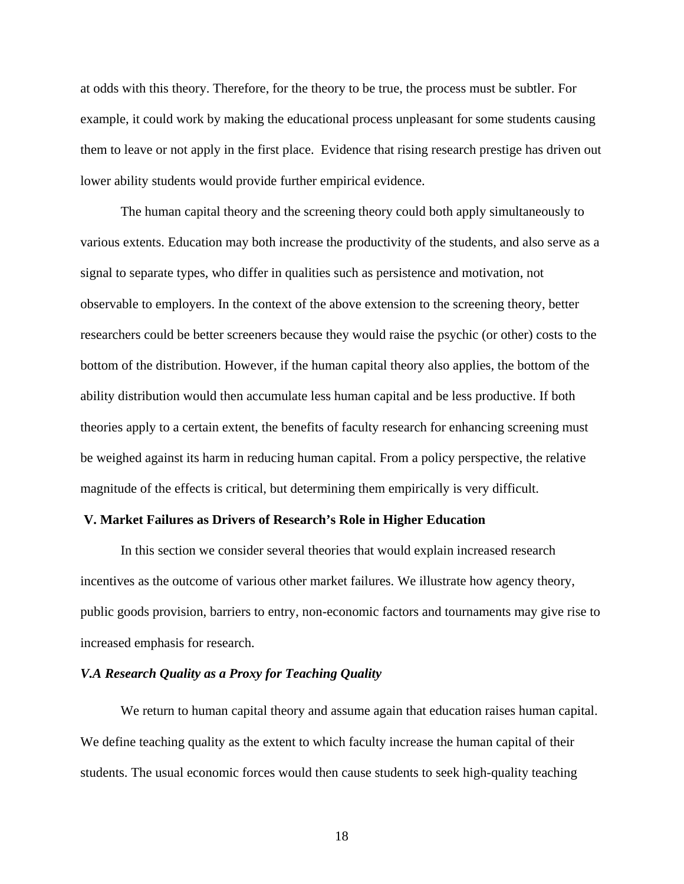at odds with this theory. Therefore, for the theory to be true, the process must be subtler. For example, it could work by making the educational process unpleasant for some students causing them to leave or not apply in the first place. Evidence that rising research prestige has driven out lower ability students would provide further empirical evidence.

The human capital theory and the screening theory could both apply simultaneously to various extents. Education may both increase the productivity of the students, and also serve as a signal to separate types, who differ in qualities such as persistence and motivation, not observable to employers. In the context of the above extension to the screening theory, better researchers could be better screeners because they would raise the psychic (or other) costs to the bottom of the distribution. However, if the human capital theory also applies, the bottom of the ability distribution would then accumulate less human capital and be less productive. If both theories apply to a certain extent, the benefits of faculty research for enhancing screening must be weighed against its harm in reducing human capital. From a policy perspective, the relative magnitude of the effects is critical, but determining them empirically is very difficult.

## **V. Market Failures as Drivers of Research's Role in Higher Education**

 In this section we consider several theories that would explain increased research incentives as the outcome of various other market failures. We illustrate how agency theory, public goods provision, barriers to entry, non-economic factors and tournaments may give rise to increased emphasis for research.

## *V.A Research Quality as a Proxy for Teaching Quality*

We return to human capital theory and assume again that education raises human capital. We define teaching quality as the extent to which faculty increase the human capital of their students. The usual economic forces would then cause students to seek high-quality teaching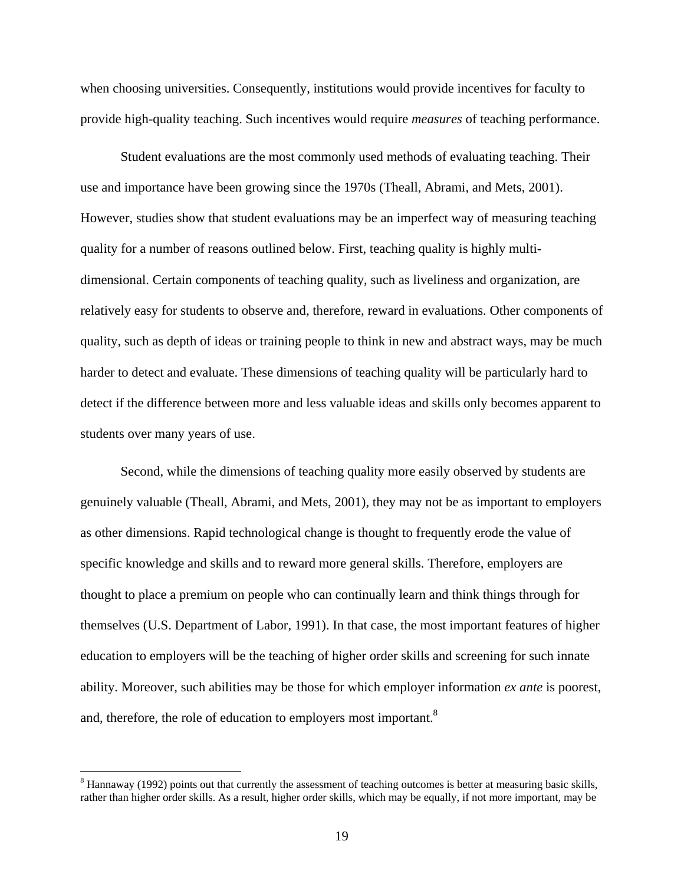when choosing universities. Consequently, institutions would provide incentives for faculty to provide high-quality teaching. Such incentives would require *measures* of teaching performance.

Student evaluations are the most commonly used methods of evaluating teaching. Their use and importance have been growing since the 1970s (Theall, Abrami, and Mets, 2001). However, studies show that student evaluations may be an imperfect way of measuring teaching quality for a number of reasons outlined below. First, teaching quality is highly multidimensional. Certain components of teaching quality, such as liveliness and organization, are relatively easy for students to observe and, therefore, reward in evaluations. Other components of quality, such as depth of ideas or training people to think in new and abstract ways, may be much harder to detect and evaluate. These dimensions of teaching quality will be particularly hard to detect if the difference between more and less valuable ideas and skills only becomes apparent to students over many years of use.

Second, while the dimensions of teaching quality more easily observed by students are genuinely valuable (Theall, Abrami, and Mets, 2001), they may not be as important to employers as other dimensions. Rapid technological change is thought to frequently erode the value of specific knowledge and skills and to reward more general skills. Therefore, employers are thought to place a premium on people who can continually learn and think things through for themselves (U.S. Department of Labor, 1991). In that case, the most important features of higher education to employers will be the teaching of higher order skills and screening for such innate ability. Moreover, such abilities may be those for which employer information *ex ante* is poorest, and, therefore, the role of education to employers most important.<sup>8</sup>

 $\overline{a}$ 

 $8$  Hannaway (1992) points out that currently the assessment of teaching outcomes is better at measuring basic skills, rather than higher order skills. As a result, higher order skills, which may be equally, if not more important, may be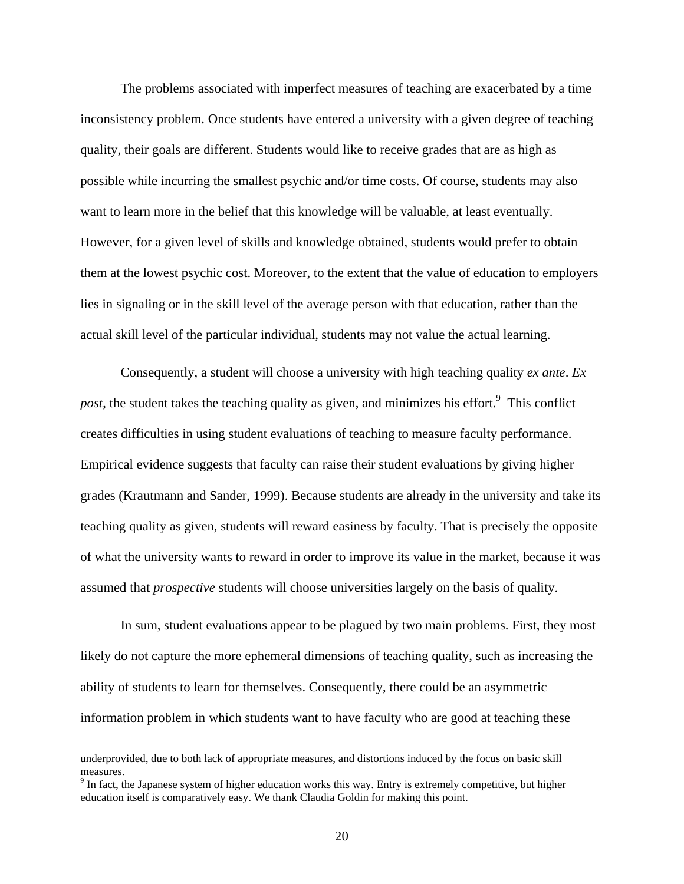The problems associated with imperfect measures of teaching are exacerbated by a time inconsistency problem. Once students have entered a university with a given degree of teaching quality, their goals are different. Students would like to receive grades that are as high as possible while incurring the smallest psychic and/or time costs. Of course, students may also want to learn more in the belief that this knowledge will be valuable, at least eventually. However, for a given level of skills and knowledge obtained, students would prefer to obtain them at the lowest psychic cost. Moreover, to the extent that the value of education to employers lies in signaling or in the skill level of the average person with that education, rather than the actual skill level of the particular individual, students may not value the actual learning.

Consequently, a student will choose a university with high teaching quality *ex ante*. *Ex*  post, the student takes the teaching quality as given, and minimizes his effort.<sup>9</sup> This conflict creates difficulties in using student evaluations of teaching to measure faculty performance. Empirical evidence suggests that faculty can raise their student evaluations by giving higher grades (Krautmann and Sander, 1999). Because students are already in the university and take its teaching quality as given, students will reward easiness by faculty. That is precisely the opposite of what the university wants to reward in order to improve its value in the market, because it was assumed that *prospective* students will choose universities largely on the basis of quality.

In sum, student evaluations appear to be plagued by two main problems. First, they most likely do not capture the more ephemeral dimensions of teaching quality, such as increasing the ability of students to learn for themselves. Consequently, there could be an asymmetric information problem in which students want to have faculty who are good at teaching these

underprovided, due to both lack of appropriate measures, and distortions induced by the focus on basic skill measures.

 $9$  In fact, the Japanese system of higher education works this way. Entry is extremely competitive, but higher education itself is comparatively easy. We thank Claudia Goldin for making this point.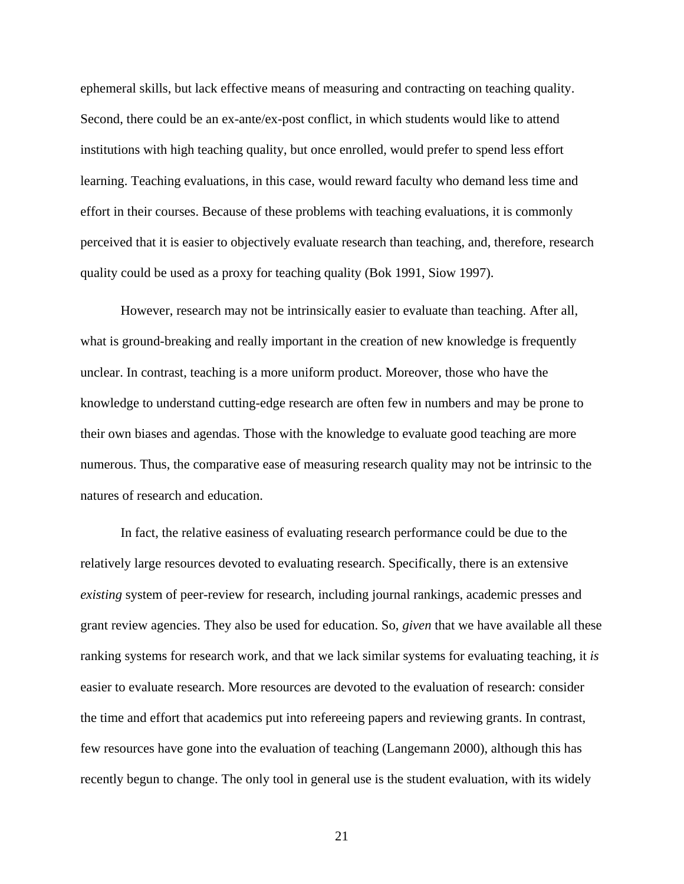ephemeral skills, but lack effective means of measuring and contracting on teaching quality. Second, there could be an ex-ante/ex-post conflict, in which students would like to attend institutions with high teaching quality, but once enrolled, would prefer to spend less effort learning. Teaching evaluations, in this case, would reward faculty who demand less time and effort in their courses. Because of these problems with teaching evaluations, it is commonly perceived that it is easier to objectively evaluate research than teaching, and, therefore, research quality could be used as a proxy for teaching quality (Bok 1991, Siow 1997).

However, research may not be intrinsically easier to evaluate than teaching. After all, what is ground-breaking and really important in the creation of new knowledge is frequently unclear. In contrast, teaching is a more uniform product. Moreover, those who have the knowledge to understand cutting-edge research are often few in numbers and may be prone to their own biases and agendas. Those with the knowledge to evaluate good teaching are more numerous. Thus, the comparative ease of measuring research quality may not be intrinsic to the natures of research and education.

In fact, the relative easiness of evaluating research performance could be due to the relatively large resources devoted to evaluating research. Specifically, there is an extensive *existing* system of peer-review for research, including journal rankings, academic presses and grant review agencies. They also be used for education. So, *given* that we have available all these ranking systems for research work, and that we lack similar systems for evaluating teaching, it *is* easier to evaluate research. More resources are devoted to the evaluation of research: consider the time and effort that academics put into refereeing papers and reviewing grants. In contrast, few resources have gone into the evaluation of teaching (Langemann 2000), although this has recently begun to change. The only tool in general use is the student evaluation, with its widely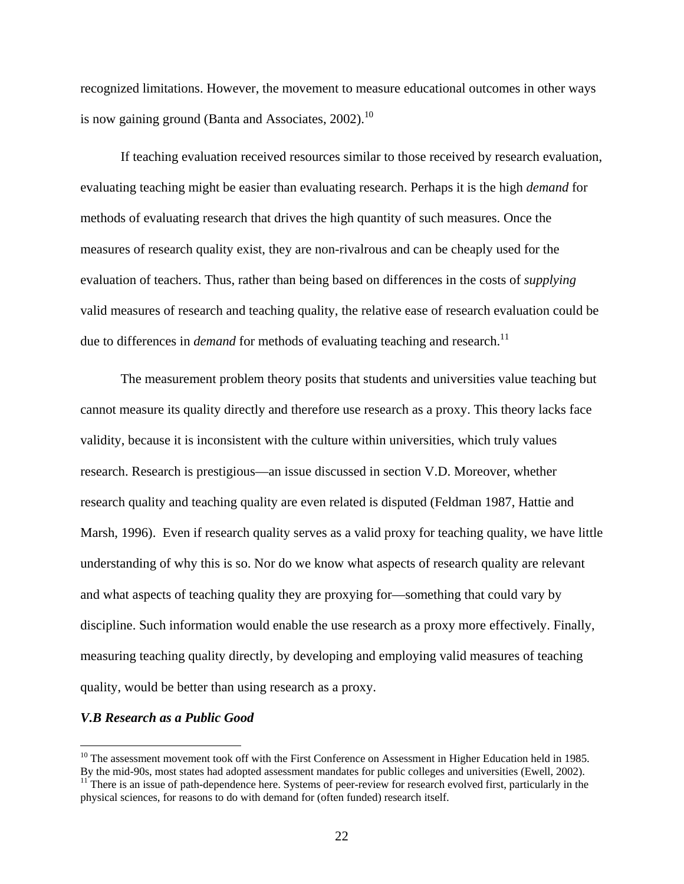recognized limitations. However, the movement to measure educational outcomes in other ways is now gaining ground (Banta and Associates, 2002).<sup>10</sup>

If teaching evaluation received resources similar to those received by research evaluation, evaluating teaching might be easier than evaluating research. Perhaps it is the high *demand* for methods of evaluating research that drives the high quantity of such measures. Once the measures of research quality exist, they are non-rivalrous and can be cheaply used for the evaluation of teachers. Thus, rather than being based on differences in the costs of *supplying* valid measures of research and teaching quality, the relative ease of research evaluation could be due to differences in *demand* for methods of evaluating teaching and research.<sup>11</sup>

The measurement problem theory posits that students and universities value teaching but cannot measure its quality directly and therefore use research as a proxy. This theory lacks face validity, because it is inconsistent with the culture within universities, which truly values research. Research is prestigious—an issue discussed in section V.D. Moreover, whether research quality and teaching quality are even related is disputed (Feldman 1987, Hattie and Marsh, 1996). Even if research quality serves as a valid proxy for teaching quality, we have little understanding of why this is so. Nor do we know what aspects of research quality are relevant and what aspects of teaching quality they are proxying for—something that could vary by discipline. Such information would enable the use research as a proxy more effectively. Finally, measuring teaching quality directly, by developing and employing valid measures of teaching quality, would be better than using research as a proxy.

## *V.B Research as a Public Good*

<u>.</u>

 $10$  The assessment movement took off with the First Conference on Assessment in Higher Education held in 1985. By the mid-90s, most states had adopted assessment mandates for public colleges and universities (Ewell, 2002). <sup>11</sup> There is an issue of path-dependence here. Systems of peer-review for research evolved first, particularly in the

physical sciences, for reasons to do with demand for (often funded) research itself.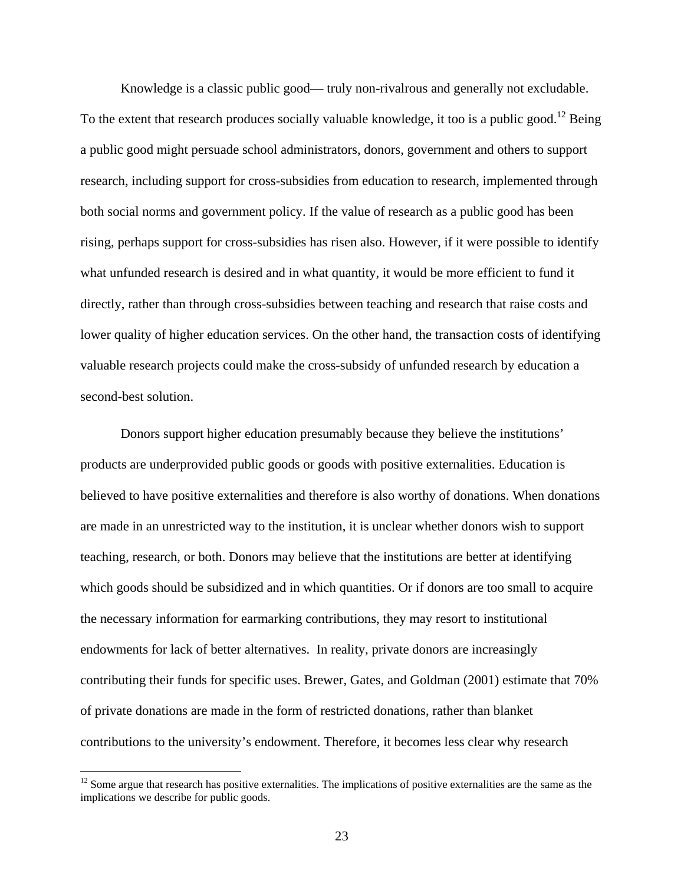Knowledge is a classic public good— truly non-rivalrous and generally not excludable. To the extent that research produces socially valuable knowledge, it too is a public good.<sup>12</sup> Being a public good might persuade school administrators, donors, government and others to support research, including support for cross-subsidies from education to research, implemented through both social norms and government policy. If the value of research as a public good has been rising, perhaps support for cross-subsidies has risen also. However, if it were possible to identify what unfunded research is desired and in what quantity, it would be more efficient to fund it directly, rather than through cross-subsidies between teaching and research that raise costs and lower quality of higher education services. On the other hand, the transaction costs of identifying valuable research projects could make the cross-subsidy of unfunded research by education a second-best solution.

Donors support higher education presumably because they believe the institutions' products are underprovided public goods or goods with positive externalities. Education is believed to have positive externalities and therefore is also worthy of donations. When donations are made in an unrestricted way to the institution, it is unclear whether donors wish to support teaching, research, or both. Donors may believe that the institutions are better at identifying which goods should be subsidized and in which quantities. Or if donors are too small to acquire the necessary information for earmarking contributions, they may resort to institutional endowments for lack of better alternatives. In reality, private donors are increasingly contributing their funds for specific uses. Brewer, Gates, and Goldman (2001) estimate that 70% of private donations are made in the form of restricted donations, rather than blanket contributions to the university's endowment. Therefore, it becomes less clear why research

 $\overline{a}$ 

 $12$  Some argue that research has positive externalities. The implications of positive externalities are the same as the implications we describe for public goods.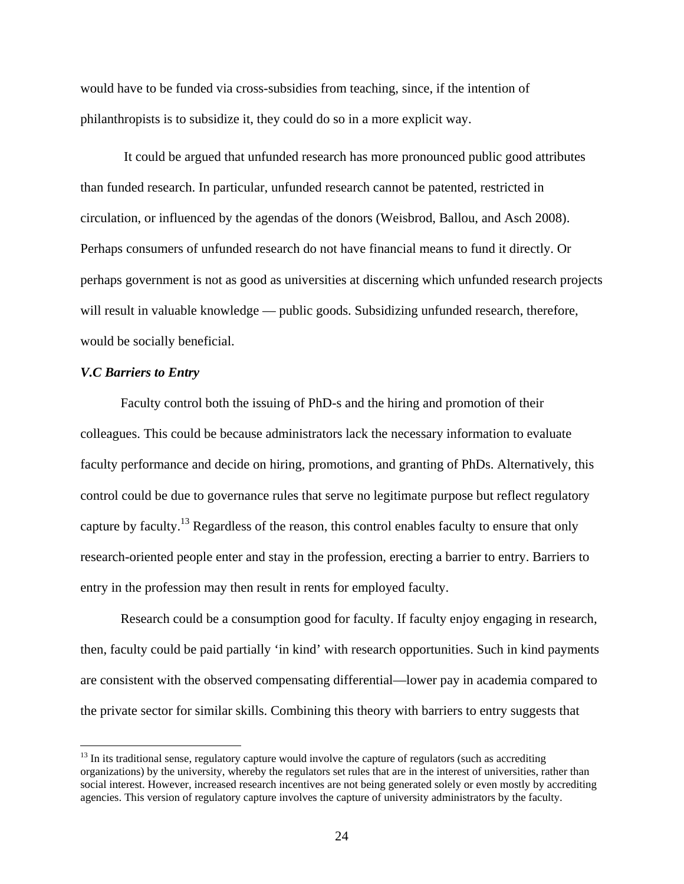would have to be funded via cross-subsidies from teaching, since, if the intention of philanthropists is to subsidize it, they could do so in a more explicit way.

 It could be argued that unfunded research has more pronounced public good attributes than funded research. In particular, unfunded research cannot be patented, restricted in circulation, or influenced by the agendas of the donors (Weisbrod, Ballou, and Asch 2008). Perhaps consumers of unfunded research do not have financial means to fund it directly. Or perhaps government is not as good as universities at discerning which unfunded research projects will result in valuable knowledge — public goods. Subsidizing unfunded research, therefore, would be socially beneficial.

### *V.C Barriers to Entry*

 $\overline{a}$ 

 Faculty control both the issuing of PhD-s and the hiring and promotion of their colleagues. This could be because administrators lack the necessary information to evaluate faculty performance and decide on hiring, promotions, and granting of PhDs. Alternatively, this control could be due to governance rules that serve no legitimate purpose but reflect regulatory capture by faculty.13 Regardless of the reason, this control enables faculty to ensure that only research-oriented people enter and stay in the profession, erecting a barrier to entry. Barriers to entry in the profession may then result in rents for employed faculty.

Research could be a consumption good for faculty. If faculty enjoy engaging in research, then, faculty could be paid partially 'in kind' with research opportunities. Such in kind payments are consistent with the observed compensating differential—lower pay in academia compared to the private sector for similar skills. Combining this theory with barriers to entry suggests that

 $13$  In its traditional sense, regulatory capture would involve the capture of regulators (such as accrediting organizations) by the university, whereby the regulators set rules that are in the interest of universities, rather than social interest. However, increased research incentives are not being generated solely or even mostly by accrediting agencies. This version of regulatory capture involves the capture of university administrators by the faculty.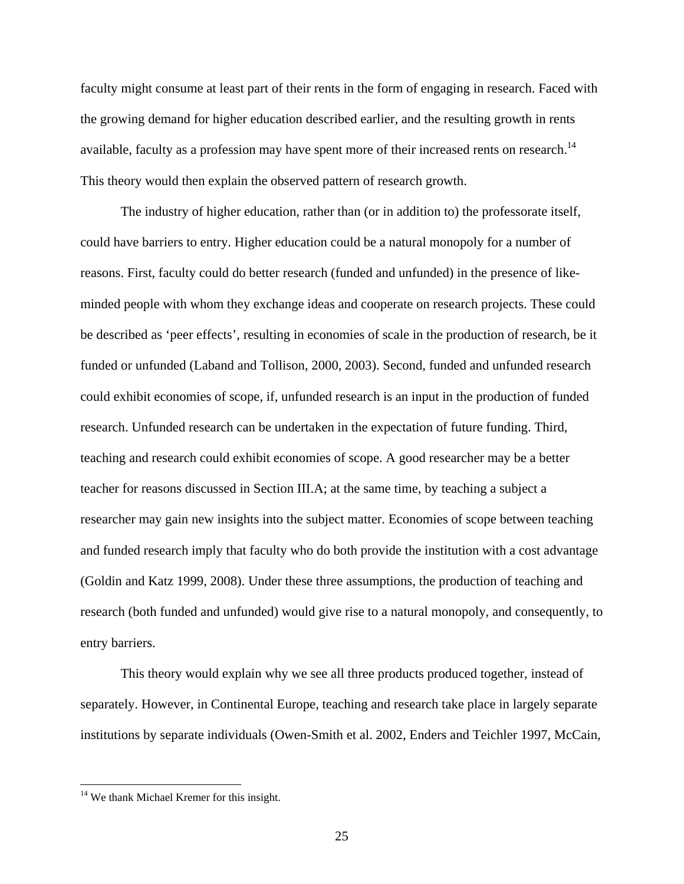faculty might consume at least part of their rents in the form of engaging in research. Faced with the growing demand for higher education described earlier, and the resulting growth in rents available, faculty as a profession may have spent more of their increased rents on research.<sup>14</sup> This theory would then explain the observed pattern of research growth.

The industry of higher education, rather than (or in addition to) the professorate itself, could have barriers to entry. Higher education could be a natural monopoly for a number of reasons. First, faculty could do better research (funded and unfunded) in the presence of likeminded people with whom they exchange ideas and cooperate on research projects. These could be described as 'peer effects', resulting in economies of scale in the production of research, be it funded or unfunded (Laband and Tollison, 2000, 2003). Second, funded and unfunded research could exhibit economies of scope, if, unfunded research is an input in the production of funded research. Unfunded research can be undertaken in the expectation of future funding. Third, teaching and research could exhibit economies of scope. A good researcher may be a better teacher for reasons discussed in Section III.A; at the same time, by teaching a subject a researcher may gain new insights into the subject matter. Economies of scope between teaching and funded research imply that faculty who do both provide the institution with a cost advantage (Goldin and Katz 1999, 2008). Under these three assumptions, the production of teaching and research (both funded and unfunded) would give rise to a natural monopoly, and consequently, to entry barriers.

This theory would explain why we see all three products produced together, instead of separately. However, in Continental Europe, teaching and research take place in largely separate institutions by separate individuals (Owen-Smith et al. 2002, Enders and Teichler 1997, McCain,

<u>.</u>

<sup>&</sup>lt;sup>14</sup> We thank Michael Kremer for this insight.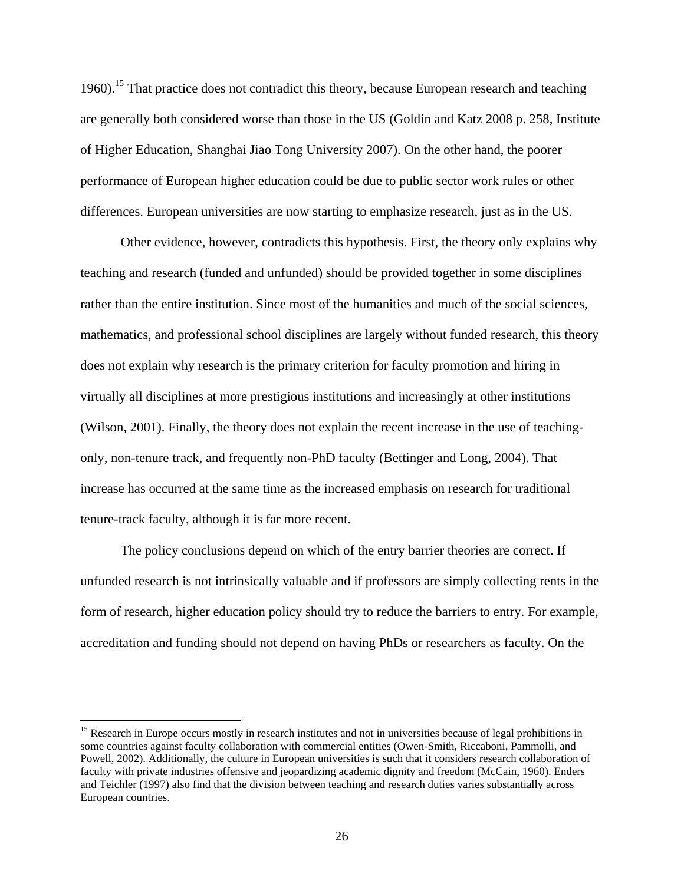1960).<sup>15</sup> That practice does not contradict this theory, because European research and teaching are generally both considered worse than those in the US (Goldin and Katz 2008 p. 258, Institute of Higher Education, Shanghai Jiao Tong University 2007). On the other hand, the poorer performance of European higher education could be due to public sector work rules or other differences. European universities are now starting to emphasize research, just as in the US.

Other evidence, however, contradicts this hypothesis. First, the theory only explains why teaching and research (funded and unfunded) should be provided together in some disciplines rather than the entire institution. Since most of the humanities and much of the social sciences, mathematics, and professional school disciplines are largely without funded research, this theory does not explain why research is the primary criterion for faculty promotion and hiring in virtually all disciplines at more prestigious institutions and increasingly at other institutions (Wilson, 2001). Finally, the theory does not explain the recent increase in the use of teachingonly, non-tenure track, and frequently non-PhD faculty (Bettinger and Long, 2004). That increase has occurred at the same time as the increased emphasis on research for traditional tenure-track faculty, although it is far more recent.

The policy conclusions depend on which of the entry barrier theories are correct. If unfunded research is not intrinsically valuable and if professors are simply collecting rents in the form of research, higher education policy should try to reduce the barriers to entry. For example, accreditation and funding should not depend on having PhDs or researchers as faculty. On the

 $\overline{a}$ 

<sup>&</sup>lt;sup>15</sup> Research in Europe occurs mostly in research institutes and not in universities because of legal prohibitions in some countries against faculty collaboration with commercial entities (Owen-Smith, Riccaboni, Pammolli, and Powell, 2002). Additionally, the culture in European universities is such that it considers research collaboration of faculty with private industries offensive and jeopardizing academic dignity and freedom (McCain, 1960). Enders and Teichler (1997) also find that the division between teaching and research duties varies substantially across European countries.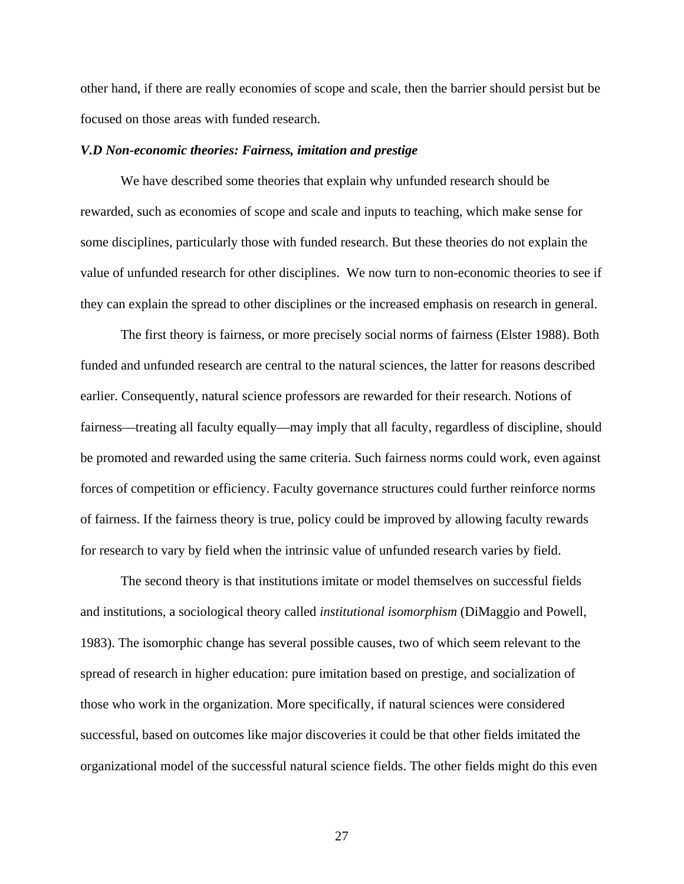other hand, if there are really economies of scope and scale, then the barrier should persist but be focused on those areas with funded research.

### *V.D Non-economic theories: Fairness, imitation and prestige*

 We have described some theories that explain why unfunded research should be rewarded, such as economies of scope and scale and inputs to teaching, which make sense for some disciplines, particularly those with funded research. But these theories do not explain the value of unfunded research for other disciplines. We now turn to non-economic theories to see if they can explain the spread to other disciplines or the increased emphasis on research in general.

 The first theory is fairness, or more precisely social norms of fairness (Elster 1988). Both funded and unfunded research are central to the natural sciences, the latter for reasons described earlier. Consequently, natural science professors are rewarded for their research. Notions of fairness—treating all faculty equally—may imply that all faculty, regardless of discipline, should be promoted and rewarded using the same criteria. Such fairness norms could work, even against forces of competition or efficiency. Faculty governance structures could further reinforce norms of fairness. If the fairness theory is true, policy could be improved by allowing faculty rewards for research to vary by field when the intrinsic value of unfunded research varies by field.

 The second theory is that institutions imitate or model themselves on successful fields and institutions, a sociological theory called *institutional isomorphism* (DiMaggio and Powell, 1983). The isomorphic change has several possible causes, two of which seem relevant to the spread of research in higher education: pure imitation based on prestige, and socialization of those who work in the organization. More specifically, if natural sciences were considered successful, based on outcomes like major discoveries it could be that other fields imitated the organizational model of the successful natural science fields. The other fields might do this even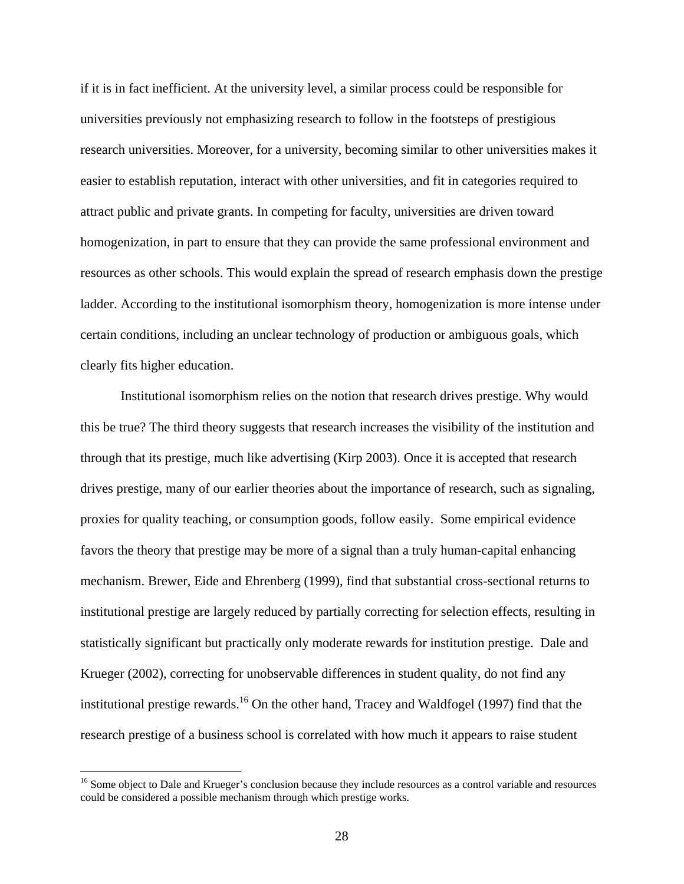if it is in fact inefficient. At the university level, a similar process could be responsible for universities previously not emphasizing research to follow in the footsteps of prestigious research universities. Moreover, for a university, becoming similar to other universities makes it easier to establish reputation, interact with other universities, and fit in categories required to attract public and private grants. In competing for faculty, universities are driven toward homogenization, in part to ensure that they can provide the same professional environment and resources as other schools. This would explain the spread of research emphasis down the prestige ladder. According to the institutional isomorphism theory, homogenization is more intense under certain conditions, including an unclear technology of production or ambiguous goals, which clearly fits higher education.

Institutional isomorphism relies on the notion that research drives prestige. Why would this be true? The third theory suggests that research increases the visibility of the institution and through that its prestige, much like advertising (Kirp 2003). Once it is accepted that research drives prestige, many of our earlier theories about the importance of research, such as signaling, proxies for quality teaching, or consumption goods, follow easily. Some empirical evidence favors the theory that prestige may be more of a signal than a truly human-capital enhancing mechanism. Brewer, Eide and Ehrenberg (1999), find that substantial cross-sectional returns to institutional prestige are largely reduced by partially correcting for selection effects, resulting in statistically significant but practically only moderate rewards for institution prestige. Dale and Krueger (2002), correcting for unobservable differences in student quality, do not find any institutional prestige rewards.<sup>16</sup> On the other hand, Tracey and Waldfogel (1997) find that the research prestige of a business school is correlated with how much it appears to raise student

 $\overline{a}$ 

<sup>&</sup>lt;sup>16</sup> Some object to Dale and Krueger's conclusion because they include resources as a control variable and resources could be considered a possible mechanism through which prestige works.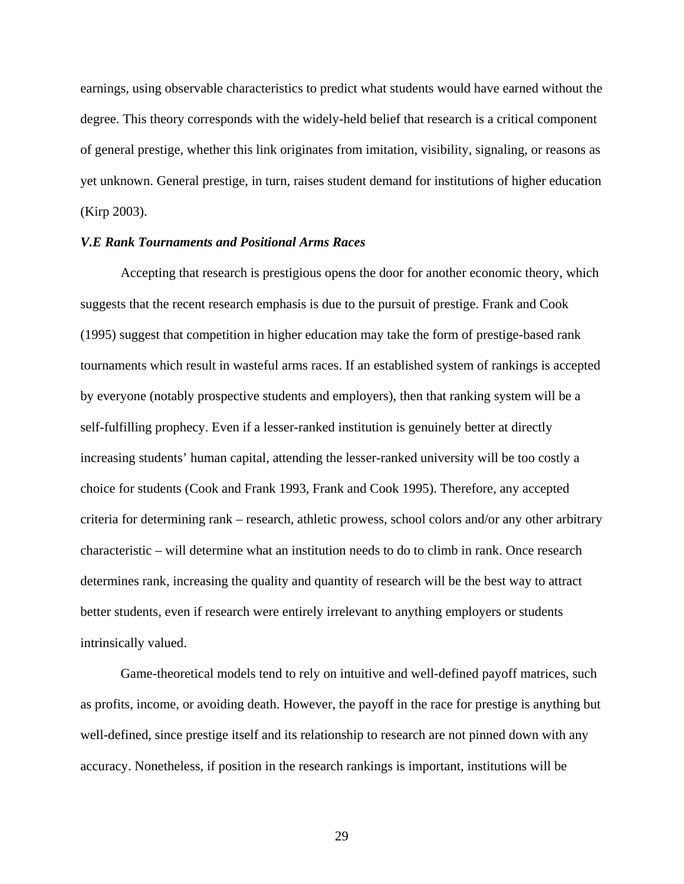earnings, using observable characteristics to predict what students would have earned without the degree. This theory corresponds with the widely-held belief that research is a critical component of general prestige, whether this link originates from imitation, visibility, signaling, or reasons as yet unknown. General prestige, in turn, raises student demand for institutions of higher education (Kirp 2003).

## *V.E Rank Tournaments and Positional Arms Races*

Accepting that research is prestigious opens the door for another economic theory, which suggests that the recent research emphasis is due to the pursuit of prestige. Frank and Cook (1995) suggest that competition in higher education may take the form of prestige-based rank tournaments which result in wasteful arms races. If an established system of rankings is accepted by everyone (notably prospective students and employers), then that ranking system will be a self-fulfilling prophecy. Even if a lesser-ranked institution is genuinely better at directly increasing students' human capital, attending the lesser-ranked university will be too costly a choice for students (Cook and Frank 1993, Frank and Cook 1995). Therefore, any accepted criteria for determining rank – research, athletic prowess, school colors and/or any other arbitrary characteristic – will determine what an institution needs to do to climb in rank. Once research determines rank, increasing the quality and quantity of research will be the best way to attract better students, even if research were entirely irrelevant to anything employers or students intrinsically valued.

Game-theoretical models tend to rely on intuitive and well-defined payoff matrices, such as profits, income, or avoiding death. However, the payoff in the race for prestige is anything but well-defined, since prestige itself and its relationship to research are not pinned down with any accuracy. Nonetheless, if position in the research rankings is important, institutions will be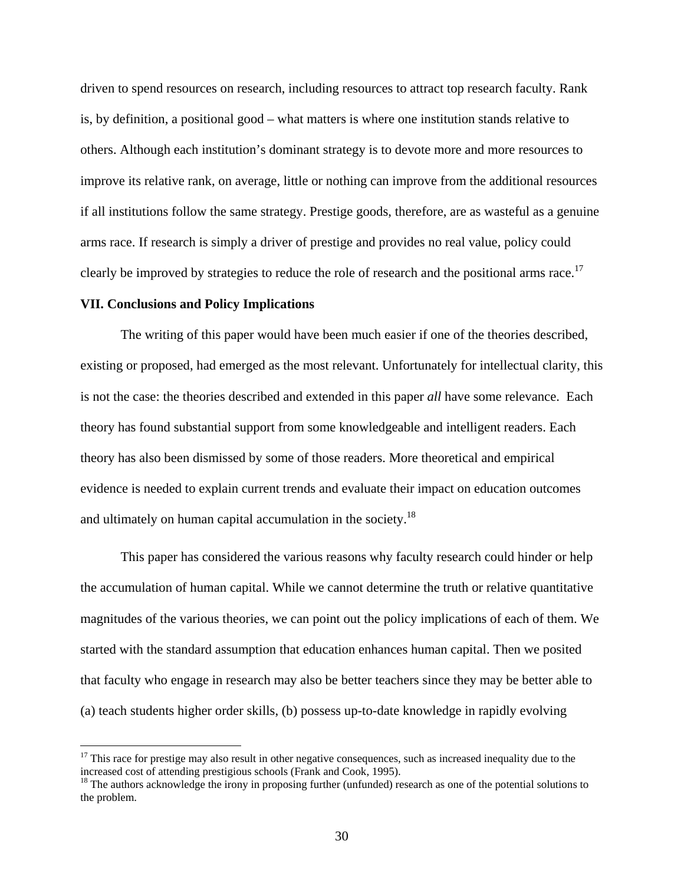driven to spend resources on research, including resources to attract top research faculty. Rank is, by definition, a positional good – what matters is where one institution stands relative to others. Although each institution's dominant strategy is to devote more and more resources to improve its relative rank, on average, little or nothing can improve from the additional resources if all institutions follow the same strategy. Prestige goods, therefore, are as wasteful as a genuine arms race. If research is simply a driver of prestige and provides no real value, policy could clearly be improved by strategies to reduce the role of research and the positional arms race.<sup>17</sup>

### **VII. Conclusions and Policy Implications**

 $\overline{a}$ 

 The writing of this paper would have been much easier if one of the theories described, existing or proposed, had emerged as the most relevant. Unfortunately for intellectual clarity, this is not the case: the theories described and extended in this paper *all* have some relevance. Each theory has found substantial support from some knowledgeable and intelligent readers. Each theory has also been dismissed by some of those readers. More theoretical and empirical evidence is needed to explain current trends and evaluate their impact on education outcomes and ultimately on human capital accumulation in the society.<sup>18</sup>

This paper has considered the various reasons why faculty research could hinder or help the accumulation of human capital. While we cannot determine the truth or relative quantitative magnitudes of the various theories, we can point out the policy implications of each of them. We started with the standard assumption that education enhances human capital. Then we posited that faculty who engage in research may also be better teachers since they may be better able to (a) teach students higher order skills, (b) possess up-to-date knowledge in rapidly evolving

 $17$  This race for prestige may also result in other negative consequences, such as increased inequality due to the increased cost of attending prestigious schools (Frank and Cook, 1995).

<sup>&</sup>lt;sup>18</sup> The authors acknowledge the irony in proposing further (unfunded) research as one of the potential solutions to the problem.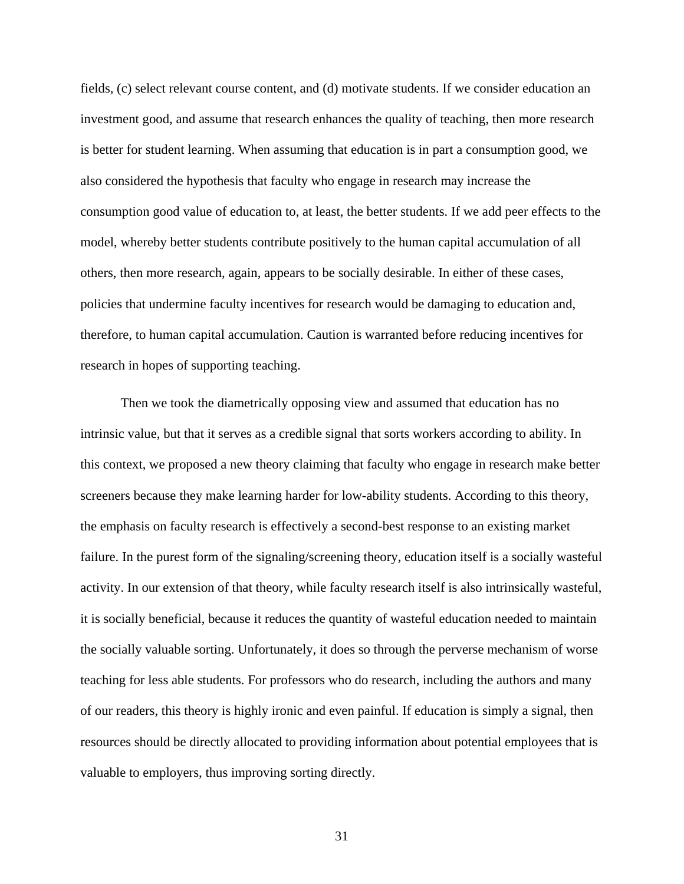fields, (c) select relevant course content, and (d) motivate students. If we consider education an investment good, and assume that research enhances the quality of teaching, then more research is better for student learning. When assuming that education is in part a consumption good, we also considered the hypothesis that faculty who engage in research may increase the consumption good value of education to, at least, the better students. If we add peer effects to the model, whereby better students contribute positively to the human capital accumulation of all others, then more research, again, appears to be socially desirable. In either of these cases, policies that undermine faculty incentives for research would be damaging to education and, therefore, to human capital accumulation. Caution is warranted before reducing incentives for research in hopes of supporting teaching.

Then we took the diametrically opposing view and assumed that education has no intrinsic value, but that it serves as a credible signal that sorts workers according to ability. In this context, we proposed a new theory claiming that faculty who engage in research make better screeners because they make learning harder for low-ability students. According to this theory, the emphasis on faculty research is effectively a second-best response to an existing market failure. In the purest form of the signaling/screening theory, education itself is a socially wasteful activity. In our extension of that theory, while faculty research itself is also intrinsically wasteful, it is socially beneficial, because it reduces the quantity of wasteful education needed to maintain the socially valuable sorting. Unfortunately, it does so through the perverse mechanism of worse teaching for less able students. For professors who do research, including the authors and many of our readers, this theory is highly ironic and even painful. If education is simply a signal, then resources should be directly allocated to providing information about potential employees that is valuable to employers, thus improving sorting directly.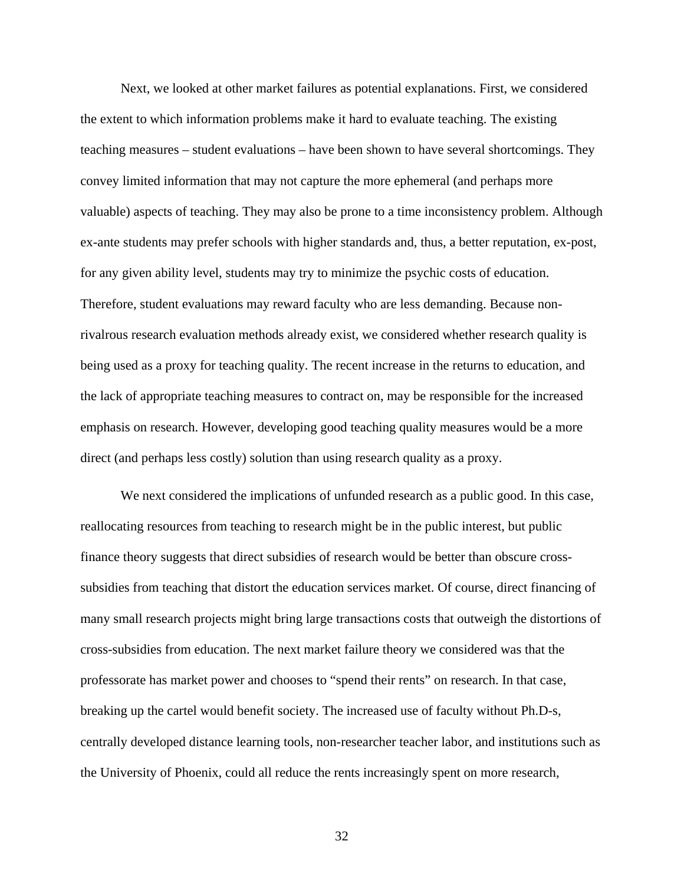Next, we looked at other market failures as potential explanations. First, we considered the extent to which information problems make it hard to evaluate teaching. The existing teaching measures – student evaluations – have been shown to have several shortcomings. They convey limited information that may not capture the more ephemeral (and perhaps more valuable) aspects of teaching. They may also be prone to a time inconsistency problem. Although ex-ante students may prefer schools with higher standards and, thus, a better reputation, ex-post, for any given ability level, students may try to minimize the psychic costs of education. Therefore, student evaluations may reward faculty who are less demanding. Because nonrivalrous research evaluation methods already exist, we considered whether research quality is being used as a proxy for teaching quality. The recent increase in the returns to education, and the lack of appropriate teaching measures to contract on, may be responsible for the increased emphasis on research. However, developing good teaching quality measures would be a more direct (and perhaps less costly) solution than using research quality as a proxy.

We next considered the implications of unfunded research as a public good. In this case, reallocating resources from teaching to research might be in the public interest, but public finance theory suggests that direct subsidies of research would be better than obscure crosssubsidies from teaching that distort the education services market. Of course, direct financing of many small research projects might bring large transactions costs that outweigh the distortions of cross-subsidies from education. The next market failure theory we considered was that the professorate has market power and chooses to "spend their rents" on research. In that case, breaking up the cartel would benefit society. The increased use of faculty without Ph.D-s, centrally developed distance learning tools, non-researcher teacher labor, and institutions such as the University of Phoenix, could all reduce the rents increasingly spent on more research,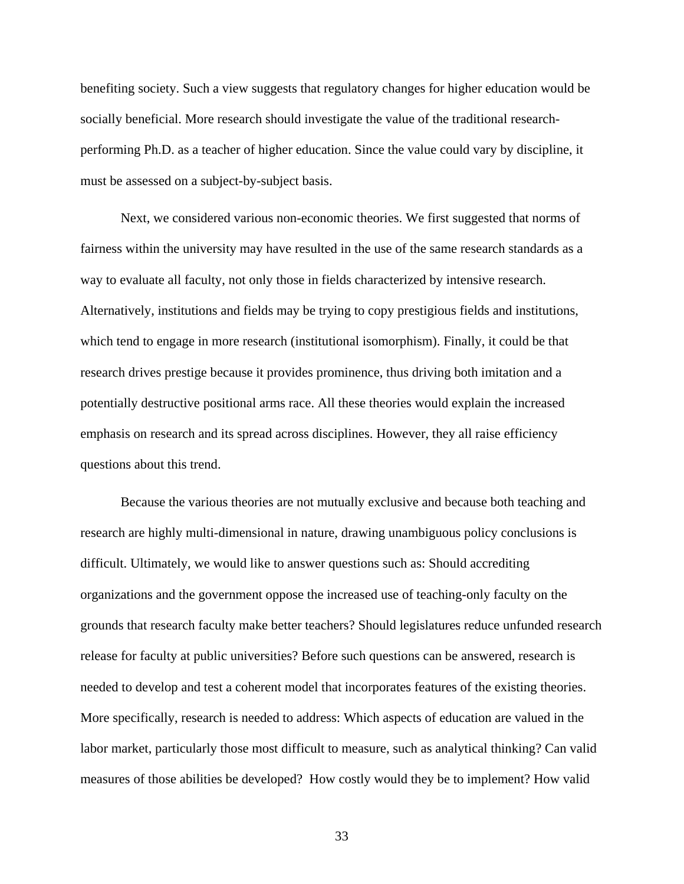benefiting society. Such a view suggests that regulatory changes for higher education would be socially beneficial. More research should investigate the value of the traditional researchperforming Ph.D. as a teacher of higher education. Since the value could vary by discipline, it must be assessed on a subject-by-subject basis.

Next, we considered various non-economic theories. We first suggested that norms of fairness within the university may have resulted in the use of the same research standards as a way to evaluate all faculty, not only those in fields characterized by intensive research. Alternatively, institutions and fields may be trying to copy prestigious fields and institutions, which tend to engage in more research (institutional isomorphism). Finally, it could be that research drives prestige because it provides prominence, thus driving both imitation and a potentially destructive positional arms race. All these theories would explain the increased emphasis on research and its spread across disciplines. However, they all raise efficiency questions about this trend.

Because the various theories are not mutually exclusive and because both teaching and research are highly multi-dimensional in nature, drawing unambiguous policy conclusions is difficult. Ultimately, we would like to answer questions such as: Should accrediting organizations and the government oppose the increased use of teaching-only faculty on the grounds that research faculty make better teachers? Should legislatures reduce unfunded research release for faculty at public universities? Before such questions can be answered, research is needed to develop and test a coherent model that incorporates features of the existing theories. More specifically, research is needed to address: Which aspects of education are valued in the labor market, particularly those most difficult to measure, such as analytical thinking? Can valid measures of those abilities be developed? How costly would they be to implement? How valid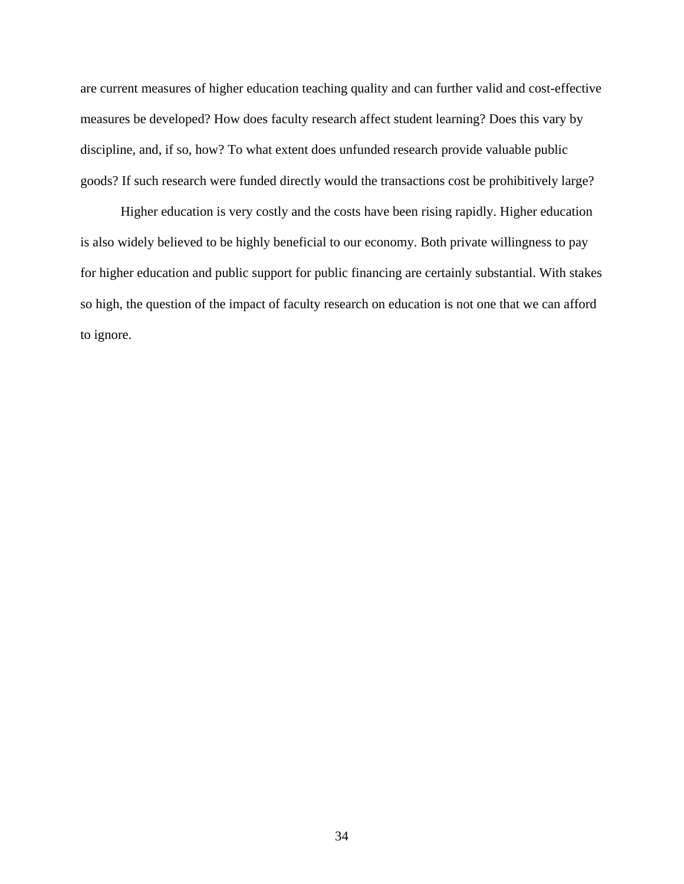are current measures of higher education teaching quality and can further valid and cost-effective measures be developed? How does faculty research affect student learning? Does this vary by discipline, and, if so, how? To what extent does unfunded research provide valuable public goods? If such research were funded directly would the transactions cost be prohibitively large?

Higher education is very costly and the costs have been rising rapidly. Higher education is also widely believed to be highly beneficial to our economy. Both private willingness to pay for higher education and public support for public financing are certainly substantial. With stakes so high, the question of the impact of faculty research on education is not one that we can afford to ignore.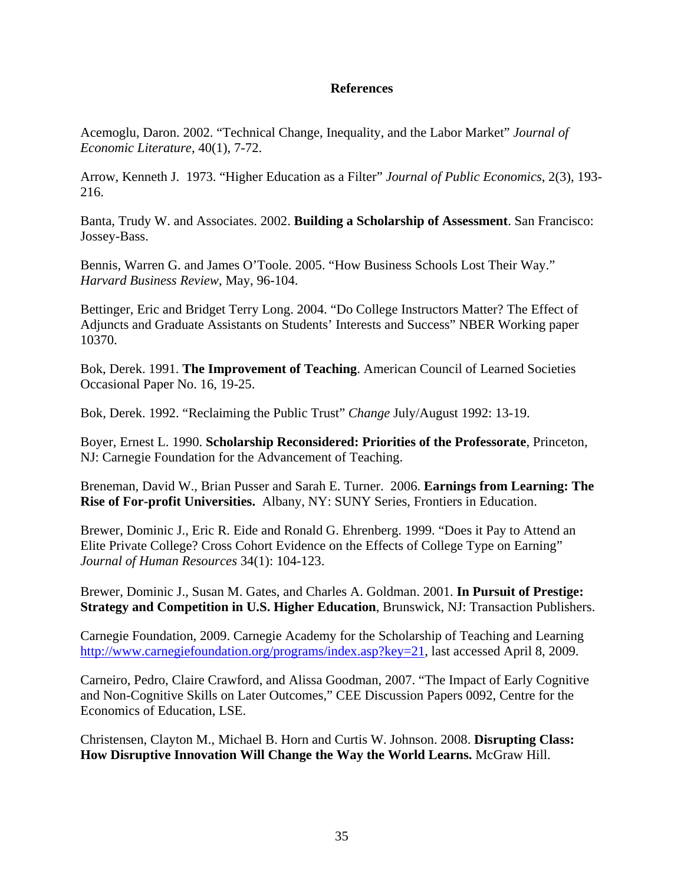# **References**

Acemoglu, Daron. 2002. "Technical Change, Inequality, and the Labor Market" *Journal of Economic Literature*, 40(1), 7-72.

Arrow, Kenneth J. 1973. "Higher Education as a Filter" *Journal of Public Economics*, 2(3), 193- 216.

Banta, Trudy W. and Associates. 2002. **Building a Scholarship of Assessment**. San Francisco: Jossey-Bass.

Bennis, Warren G. and James O'Toole. 2005. "How Business Schools Lost Their Way." *Harvard Business Review*, May, 96-104.

Bettinger, Eric and Bridget Terry Long. 2004. "Do College Instructors Matter? The Effect of Adjuncts and Graduate Assistants on Students' Interests and Success" NBER Working paper 10370.

Bok, Derek. 1991. **The Improvement of Teaching**. American Council of Learned Societies Occasional Paper No. 16, 19-25.

Bok, Derek. 1992. "Reclaiming the Public Trust" *Change* July/August 1992: 13-19.

Boyer, Ernest L. 1990. **Scholarship Reconsidered: Priorities of the Professorate**, Princeton, NJ: Carnegie Foundation for the Advancement of Teaching.

Breneman, David W., Brian Pusser and Sarah E. Turner. 2006. **Earnings from Learning: The Rise of For-profit Universities.** Albany, NY: SUNY Series, Frontiers in Education.

Brewer, Dominic J., Eric R. Eide and Ronald G. Ehrenberg. 1999. "Does it Pay to Attend an Elite Private College? Cross Cohort Evidence on the Effects of College Type on Earning" *Journal of Human Resources* 34(1): 104-123.

Brewer, Dominic J., Susan M. Gates, and Charles A. Goldman. 2001. **In Pursuit of Prestige: Strategy and Competition in U.S. Higher Education**, Brunswick, NJ: Transaction Publishers.

Carnegie Foundation, 2009. Carnegie Academy for the Scholarship of Teaching and Learning http://www.carnegiefoundation.org/programs/index.asp?key=21, last accessed April 8, 2009.

Carneiro, Pedro, Claire Crawford, and Alissa Goodman, 2007. "The Impact of Early Cognitive and Non-Cognitive Skills on Later Outcomes," CEE Discussion Papers 0092, Centre for the Economics of Education, LSE.

Christensen, Clayton M., Michael B. Horn and Curtis W. Johnson. 2008. **Disrupting Class: How Disruptive Innovation Will Change the Way the World Learns.** McGraw Hill.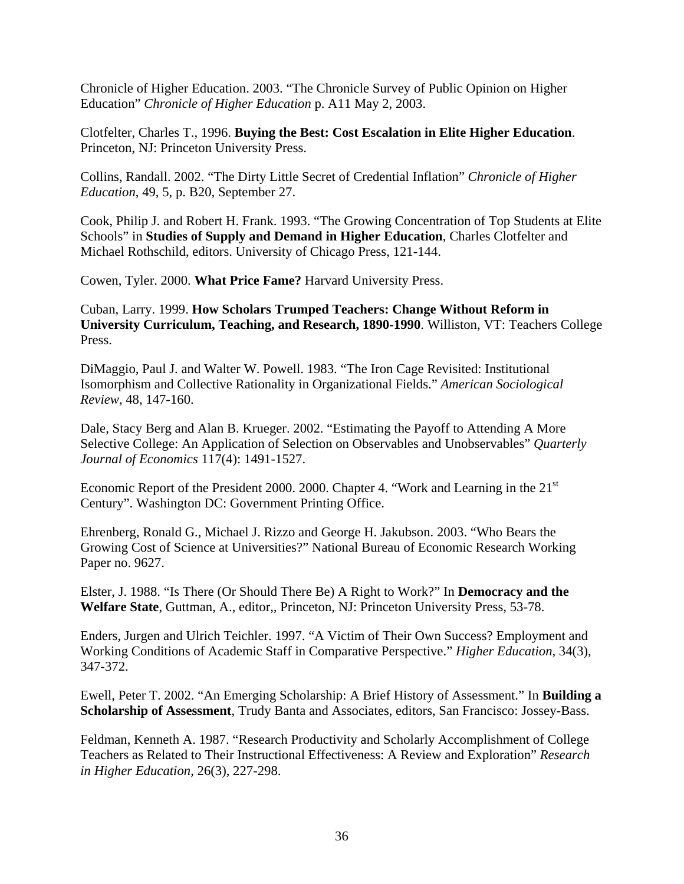Chronicle of Higher Education. 2003. "The Chronicle Survey of Public Opinion on Higher Education" *Chronicle of Higher Education* p. A11 May 2, 2003.

Clotfelter, Charles T., 1996. **Buying the Best: Cost Escalation in Elite Higher Education**. Princeton, NJ: Princeton University Press.

Collins, Randall. 2002. "The Dirty Little Secret of Credential Inflation" *Chronicle of Higher Education*, 49, 5, p. B20, September 27.

Cook, Philip J. and Robert H. Frank. 1993. "The Growing Concentration of Top Students at Elite Schools" in **Studies of Supply and Demand in Higher Education**, Charles Clotfelter and Michael Rothschild, editors. University of Chicago Press, 121-144.

Cowen, Tyler. 2000. **What Price Fame?** Harvard University Press.

Cuban, Larry. 1999. **How Scholars Trumped Teachers: Change Without Reform in University Curriculum, Teaching, and Research, 1890-1990**. Williston, VT: Teachers College Press.

DiMaggio, Paul J. and Walter W. Powell. 1983. "The Iron Cage Revisited: Institutional Isomorphism and Collective Rationality in Organizational Fields." *American Sociological Review*, 48, 147-160.

Dale, Stacy Berg and Alan B. Krueger. 2002. "Estimating the Payoff to Attending A More Selective College: An Application of Selection on Observables and Unobservables" *Quarterly Journal of Economics* 117(4): 1491-1527.

Economic Report of the President 2000. 2000. Chapter 4. "Work and Learning in the 21<sup>st</sup> Century". Washington DC: Government Printing Office.

Ehrenberg, Ronald G., Michael J. Rizzo and George H. Jakubson. 2003. "Who Bears the Growing Cost of Science at Universities?" National Bureau of Economic Research Working Paper no. 9627.

Elster, J. 1988. "Is There (Or Should There Be) A Right to Work?" In **Democracy and the Welfare State**, Guttman, A., editor,*,* Princeton, NJ: Princeton University Press, 53-78.

Enders, Jurgen and Ulrich Teichler. 1997. "A Victim of Their Own Success? Employment and Working Conditions of Academic Staff in Comparative Perspective." *Higher Education*, 34(3), 347-372.

Ewell, Peter T. 2002. "An Emerging Scholarship: A Brief History of Assessment." In **Building a Scholarship of Assessment**, Trudy Banta and Associates, editors, San Francisco: Jossey-Bass.

Feldman, Kenneth A. 1987. "Research Productivity and Scholarly Accomplishment of College Teachers as Related to Their Instructional Effectiveness: A Review and Exploration" *Research in Higher Education,* 26(3), 227-298.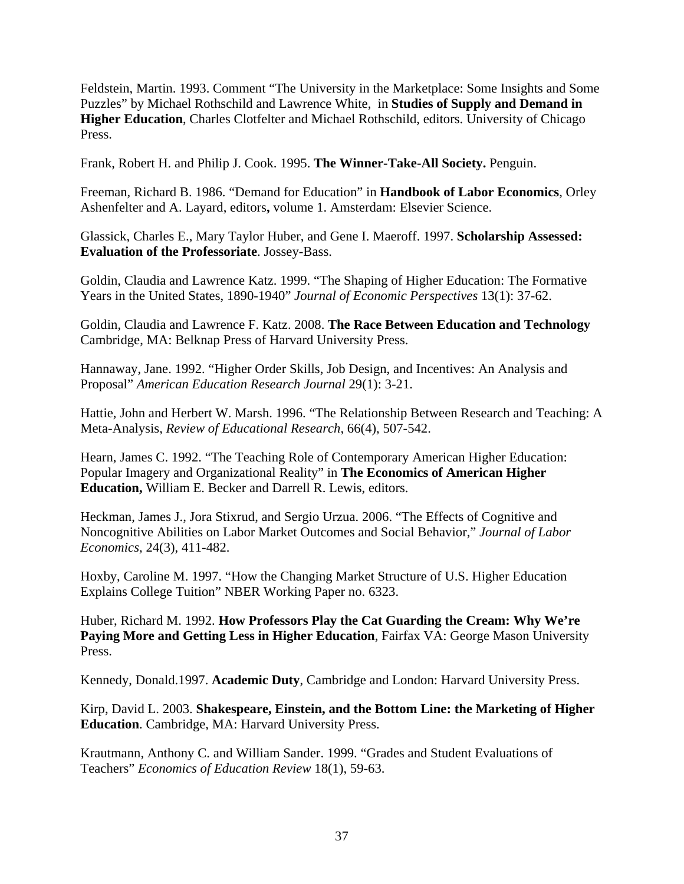Feldstein, Martin. 1993. Comment "The University in the Marketplace: Some Insights and Some Puzzles" by Michael Rothschild and Lawrence White, in **Studies of Supply and Demand in Higher Education**, Charles Clotfelter and Michael Rothschild, editors. University of Chicago Press.

Frank, Robert H. and Philip J. Cook. 1995. **The Winner-Take-All Society.** Penguin.

Freeman, Richard B. 1986. "Demand for Education" in **Handbook of Labor Economics**, Orley Ashenfelter and A. Layard, editors**,** volume 1. Amsterdam: Elsevier Science.

Glassick, Charles E., Mary Taylor Huber, and Gene I. Maeroff. 1997. **Scholarship Assessed: Evaluation of the Professoriate**. Jossey-Bass.

Goldin, Claudia and Lawrence Katz. 1999. "The Shaping of Higher Education: The Formative Years in the United States, 1890-1940" *Journal of Economic Perspectives* 13(1): 37-62.

Goldin, Claudia and Lawrence F. Katz. 2008. **The Race Between Education and Technology**  Cambridge, MA: Belknap Press of Harvard University Press.

Hannaway, Jane. 1992. "Higher Order Skills, Job Design, and Incentives: An Analysis and Proposal" *American Education Research Journal* 29(1): 3-21.

Hattie, John and Herbert W. Marsh. 1996. "The Relationship Between Research and Teaching: A Meta-Analysis, *Review of Educational Research*, 66(4), 507-542.

Hearn, James C. 1992. "The Teaching Role of Contemporary American Higher Education: Popular Imagery and Organizational Reality" in **The Economics of American Higher Education,** William E. Becker and Darrell R. Lewis, editors.

Heckman, James J., Jora Stixrud, and Sergio Urzua. 2006. "The Effects of Cognitive and Noncognitive Abilities on Labor Market Outcomes and Social Behavior," *Journal of Labor Economics,* 24(3), 411-482.

Hoxby, Caroline M. 1997. "How the Changing Market Structure of U.S. Higher Education Explains College Tuition" NBER Working Paper no. 6323.

Huber, Richard M. 1992. **How Professors Play the Cat Guarding the Cream: Why We're**  Paying More and Getting Less in Higher Education, Fairfax VA: George Mason University Press.

Kennedy, Donald.1997. **Academic Duty**, Cambridge and London: Harvard University Press.

Kirp, David L. 2003. **Shakespeare, Einstein, and the Bottom Line: the Marketing of Higher Education**. Cambridge, MA: Harvard University Press.

Krautmann, Anthony C. and William Sander. 1999. "Grades and Student Evaluations of Teachers" *Economics of Education Review* 18(1), 59-63.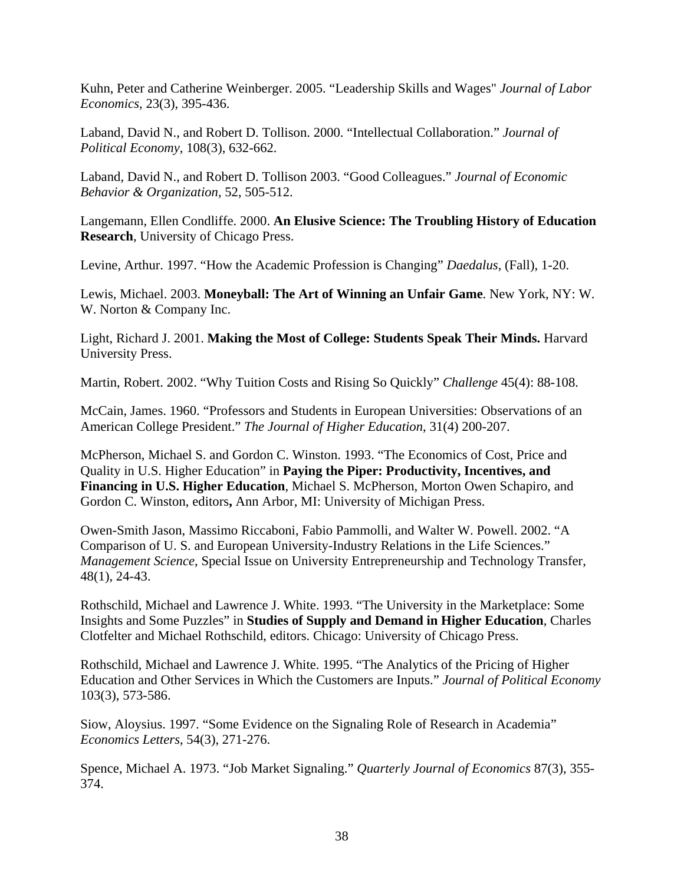Kuhn, Peter and Catherine Weinberger. 2005. "Leadership Skills and Wages" *Journal of Labor Economics,* 23(3), 395-436.

Laband, David N., and Robert D. Tollison. 2000. "Intellectual Collaboration." *Journal of Political Economy,* 108(3), 632-662.

Laband, David N., and Robert D. Tollison 2003. "Good Colleagues." *Journal of Economic Behavior & Organization,* 52, 505-512.

Langemann, Ellen Condliffe. 2000. **An Elusive Science: The Troubling History of Education Research**, University of Chicago Press.

Levine, Arthur. 1997. "How the Academic Profession is Changing" *Daedalus*, (Fall), 1-20.

Lewis, Michael. 2003. **Moneyball: The Art of Winning an Unfair Game**. New York, NY: W. W. Norton & Company Inc.

Light, Richard J. 2001. **Making the Most of College: Students Speak Their Minds.** Harvard University Press.

Martin, Robert. 2002. "Why Tuition Costs and Rising So Quickly" *Challenge* 45(4): 88-108.

McCain, James. 1960. "Professors and Students in European Universities: Observations of an American College President." *The Journal of Higher Education*, 31(4) 200-207.

McPherson, Michael S. and Gordon C. Winston. 1993. "The Economics of Cost, Price and Quality in U.S. Higher Education" in **Paying the Piper: Productivity, Incentives, and Financing in U.S. Higher Education**, Michael S. McPherson, Morton Owen Schapiro, and Gordon C. Winston, editors**,** Ann Arbor, MI: University of Michigan Press.

Owen-Smith Jason, Massimo Riccaboni, Fabio Pammolli, and Walter W. Powell. 2002. "A Comparison of U. S. and European University-Industry Relations in the Life Sciences." *Management Science*, Special Issue on University Entrepreneurship and Technology Transfer, 48(1), 24-43.

Rothschild, Michael and Lawrence J. White. 1993. "The University in the Marketplace: Some Insights and Some Puzzles" in **Studies of Supply and Demand in Higher Education**, Charles Clotfelter and Michael Rothschild, editors. Chicago: University of Chicago Press.

Rothschild, Michael and Lawrence J. White. 1995. "The Analytics of the Pricing of Higher Education and Other Services in Which the Customers are Inputs." *Journal of Political Economy* 103(3), 573-586.

Siow, Aloysius. 1997. "Some Evidence on the Signaling Role of Research in Academia" *Economics Letters*, 54(3), 271-276.

Spence, Michael A. 1973. "Job Market Signaling." *Quarterly Journal of Economics* 87(3), 355- 374.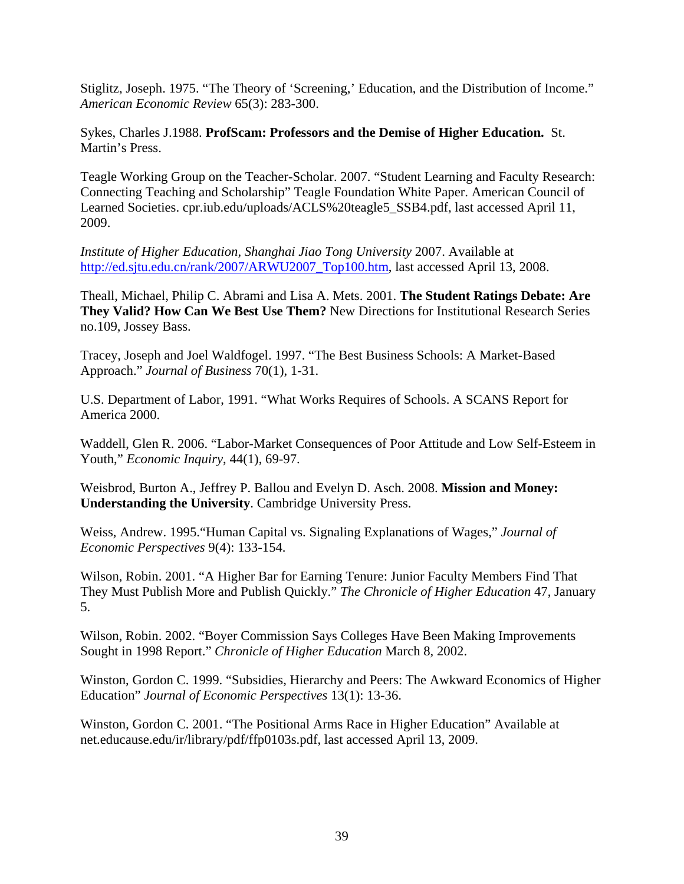Stiglitz, Joseph. 1975. "The Theory of 'Screening,' Education, and the Distribution of Income." *American Economic Review* 65(3): 283-300.

Sykes, Charles J.1988. **ProfScam: Professors and the Demise of Higher Education.** St. Martin's Press.

Teagle Working Group on the Teacher-Scholar. 2007. "Student Learning and Faculty Research: Connecting Teaching and Scholarship" Teagle Foundation White Paper. American Council of Learned Societies. cpr.iub.edu/uploads/ACLS%20teagle5\_SSB4.pdf, last accessed April 11, 2009.

*Institute of Higher Education, Shanghai Jiao Tong University* 2007. Available at http://ed.sjtu.edu.cn/rank/2007/ARWU2007\_Top100.htm, last accessed April 13, 2008.

Theall, Michael, Philip C. Abrami and Lisa A. Mets. 2001. **The Student Ratings Debate: Are They Valid? How Can We Best Use Them?** New Directions for Institutional Research Series no.109, Jossey Bass.

Tracey, Joseph and Joel Waldfogel. 1997. "The Best Business Schools: A Market-Based Approach." *Journal of Business* 70(1), 1-31.

U.S. Department of Labor, 1991. "What Works Requires of Schools. A SCANS Report for America 2000.

Waddell, Glen R. 2006. "Labor-Market Consequences of Poor Attitude and Low Self-Esteem in Youth," *Economic Inquiry*, 44(1), 69-97.

Weisbrod, Burton A., Jeffrey P. Ballou and Evelyn D. Asch. 2008. **Mission and Money: Understanding the University**. Cambridge University Press.

Weiss, Andrew. 1995."Human Capital vs. Signaling Explanations of Wages," *Journal of Economic Perspectives* 9(4): 133-154.

Wilson, Robin. 2001. "A Higher Bar for Earning Tenure: Junior Faculty Members Find That They Must Publish More and Publish Quickly." *The Chronicle of Higher Education* 47, January 5.

Wilson, Robin. 2002. "Boyer Commission Says Colleges Have Been Making Improvements Sought in 1998 Report." *Chronicle of Higher Education* March 8, 2002.

Winston, Gordon C. 1999. "Subsidies, Hierarchy and Peers: The Awkward Economics of Higher Education" *Journal of Economic Perspectives* 13(1): 13-36.

Winston, Gordon C. 2001. "The Positional Arms Race in Higher Education" Available at net.educause.edu/ir/library/pdf/ffp0103s.pdf, last accessed April 13, 2009.